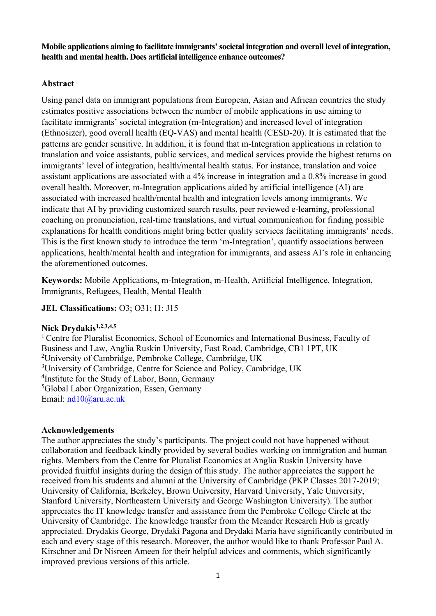**Mobile applications aiming to facilitate immigrants' societal integration and overall level of integration, health and mental health. Does artificial intelligence enhance outcomes?** 

# **Abstract**

Using panel data on immigrant populations from European, Asian and African countries the study estimates positive associations between the number of mobile applications in use aiming to facilitate immigrants' societal integration (m-Integration) and increased level of integration (Ethnosizer), good overall health (EQ-VAS) and mental health (CESD-20). It is estimated that the patterns are gender sensitive. In addition, it is found that m-Integration applications in relation to translation and voice assistants, public services, and medical services provide the highest returns on immigrants' level of integration, health/mental health status. For instance, translation and voice assistant applications are associated with a 4% increase in integration and a 0.8% increase in good overall health. Moreover, m-Integration applications aided by artificial intelligence (AI) are associated with increased health/mental health and integration levels among immigrants. We indicate that AI by providing customized search results, peer reviewed e-learning, professional coaching on pronunciation, real-time translations, and virtual communication for finding possible explanations for health conditions might bring better quality services facilitating immigrants' needs. This is the first known study to introduce the term 'm-Integration', quantify associations between applications, health/mental health and integration for immigrants, and assess AI's role in enhancing the aforementioned outcomes.

**Keywords:** Mobile Applications, m-Integration, m-Health, Artificial Intelligence, Integration, Immigrants, Refugees, Health, Mental Health

**JEL Classifications: O3; O31; I1; J15** 

# **Nick Drydakis1,2,3,4,5**

<sup>1</sup> Centre for Pluralist Economics, School of Economics and International Business, Faculty of Business and Law, Anglia Ruskin University, East Road, Cambridge, CB1 1PT, UK <sup>2</sup>University of Cambridge, Pembroke College, Cambridge, UK <sup>3</sup>University of Cambridge, Centre for Science and Policy, Cambridge, UK <sup>4</sup>Institute for the Study of Labor, Bonn, Germany 5 Global Labor Organization, Essen, Germany Email: [nd10@aru.ac.uk](mailto:nd10@aru.ac.uk)

### **Acknowledgements**

The author appreciates the study's participants. The project could not have happened without collaboration and feedback kindly provided by several bodies working on immigration and human rights. Members from the Centre for Pluralist Economics at Anglia Ruskin University have provided fruitful insights during the design of this study. The author appreciates the support he received from his students and alumni at the University of Cambridge (PKP Classes 2017-2019; University of California, Berkeley, Brown University, Harvard University, Yale University, Stanford University, Northeastern University and George Washington University). The author appreciates the IT knowledge transfer and assistance from the Pembroke College Circle at the University of Cambridge. The knowledge transfer from the Meander Research Hub is greatly appreciated. Drydakis George, Drydaki Pagona and Drydaki Maria have significantly contributed in each and every stage of this research. Moreover, the author would like to thank Professor Paul A. Kirschner and Dr Nisreen Ameen for their helpful advices and comments, which significantly improved previous versions of this article.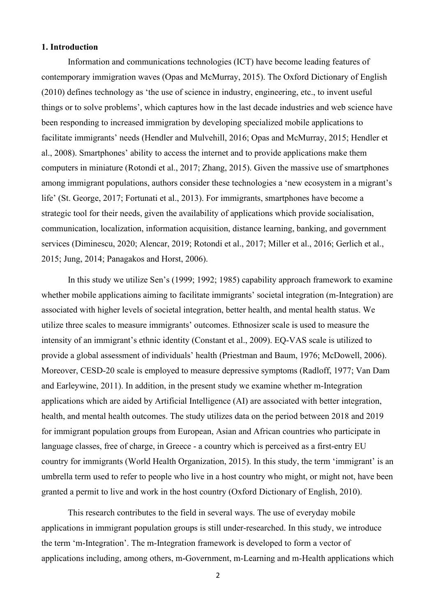### **1. Introduction**

Information and communications technologies (ICT) have become leading features of contemporary immigration waves (Opas and McMurray, 2015). The Oxford Dictionary of English (2010) defines technology as 'the use of science in industry, engineering, etc., to invent useful things or to solve problems', which captures how in the last decade industries and web science have been responding to increased immigration by developing specialized mobile applications to facilitate immigrants' needs (Hendler and Mulvehill, 2016; Opas and McMurray, 2015; Hendler et al., 2008). Smartphones' ability to access the internet and to provide applications make them computers in miniature (Rotondi et al., 2017; Zhang, 2015). Given the massive use of smartphones among immigrant populations, authors consider these technologies a 'new ecosystem in a migrant's life' (St. George, 2017; Fortunati et al., 2013). For immigrants, smartphones have become a strategic tool for their needs, given the availability of applications which provide socialisation, communication, localization, information acquisition, distance learning, banking, and government services (Diminescu, 2020; Alencar, 2019; Rotondi et al., 2017; Miller et al., 2016; Gerlich et al., 2015; Jung, 2014; Panagakos and Horst, 2006).

In this study we utilize Sen's (1999; 1992; 1985) capability approach framework to examine whether mobile applications aiming to facilitate immigrants' societal integration (m-Integration) are associated with higher levels of societal integration, better health, and mental health status. We utilize three scales to measure immigrants' outcomes. Ethnosizer scale is used to measure the intensity of an immigrant's ethnic identity (Constant et al., 2009). EQ-VAS scale is utilized to provide a global assessment of individuals' health (Priestman and Baum, 1976; McDowell, 2006). Moreover, CESD-20 scale is employed to measure depressive symptoms (Radloff, 1977; Van Dam and Earleywine, 2011). In addition, in the present study we examine whether m-Integration applications which are aided by Artificial Intelligence (AI) are associated with better integration, health, and mental health outcomes. The study utilizes data on the period between 2018 and 2019 for immigrant population groups from European, Asian and African countries who participate in language classes, free of charge, in Greece - a country which is perceived as a first-entry EU country for immigrants (World Health Organization, 2015). In this study, the term 'immigrant' is an umbrella term used to refer to people who live in a host country who might, or might not, have been granted a permit to live and work in the host country (Oxford Dictionary of English, 2010).

This research contributes to the field in several ways. The use of everyday mobile applications in immigrant population groups is still under-researched. In this study, we introduce the term 'm-Integration'. The m-Integration framework is developed to form a vector of applications including, among others, m-Government, m-Learning and m-Health applications which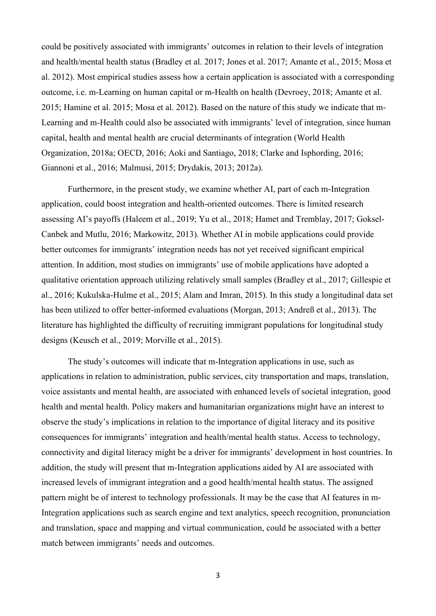could be positively associated with immigrants' outcomes in relation to their levels of integration and health/mental health status (Bradley et al. 2017; Jones et al. 2017; Amante et al., 2015; Mosa et al. 2012). Most empirical studies assess how a certain application is associated with a corresponding outcome, i.e. m-Learning on human capital or m-Health on health (Devroey, 2018; Amante et al. 2015; Hamine et al. 2015; Mosa et al. 2012). Based on the nature of this study we indicate that m-Learning and m-Health could also be associated with immigrants' level of integration, since human capital, health and mental health are crucial determinants of integration (World Health Organization, 2018a; OECD, 2016; Aoki and Santiago, 2018; Clarke and Isphording, 2016; Giannoni et al., 2016; Malmusi, 2015; Drydakis, 2013; 2012a).

Furthermore, in the present study, we examine whether AI, part of each m-Integration application, could boost integration and health-oriented outcomes. There is limited research assessing AI's payoffs (Haleem et al., 2019; Yu et al., 2018; Hamet and Tremblay, 2017; Goksel-Canbek and Mutlu, 2016; Markowitz, 2013). Whether AI in mobile applications could provide better outcomes for immigrants' integration needs has not yet received significant empirical attention. In addition, most studies on immigrants' use of mobile applications have adopted a qualitative orientation approach utilizing relatively small samples (Bradley et al., 2017; Gillespie et al., 2016; Kukulska-Hulme et al., 2015; Alam and Imran, 2015). In this study a longitudinal data set has been utilized to offer better-informed evaluations (Morgan, 2013; Andreß et al., 2013). The literature has highlighted the difficulty of recruiting immigrant populations for longitudinal study designs (Keusch et al., 2019; Morville et al., 2015).

The study's outcomes will indicate that m-Integration applications in use, such as applications in relation to administration, public services, city transportation and maps, translation, voice assistants and mental health, are associated with enhanced levels of societal integration, good health and mental health. Policy makers and humanitarian organizations might have an interest to observe the study's implications in relation to the importance of digital literacy and its positive consequences for immigrants' integration and health/mental health status. Access to technology, connectivity and digital literacy might be a driver for immigrants' development in host countries. In addition, the study will present that m-Integration applications aided by AI are associated with increased levels of immigrant integration and a good health/mental health status. The assigned pattern might be of interest to technology professionals. It may be the case that AI features in m-Integration applications such as search engine and text analytics, speech recognition, pronunciation and translation, space and mapping and virtual communication, could be associated with a better match between immigrants' needs and outcomes.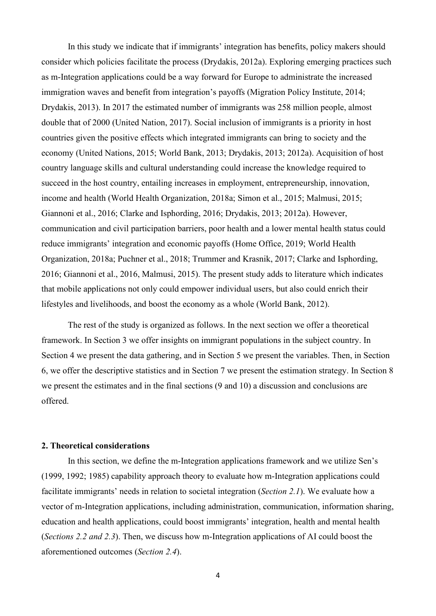In this study we indicate that if immigrants' integration has benefits, policy makers should consider which policies facilitate the process (Drydakis, 2012a). Exploring emerging practices such as m-Integration applications could be a way forward for Europe to administrate the increased immigration waves and benefit from integration's payoffs (Migration Policy Institute, 2014; Drydakis, 2013). In 2017 the estimated number of immigrants was 258 million people, almost double that of 2000 (United Nation, 2017). Social inclusion of immigrants is a priority in host countries given the positive effects which integrated immigrants can bring to society and the economy (United Nations, 2015; World Bank, 2013; Drydakis, 2013; 2012a). Acquisition of host country language skills and cultural understanding could increase the knowledge required to succeed in the host country, entailing increases in employment, entrepreneurship, innovation, income and health (World Health Organization, 2018a; Simon et al., 2015; Malmusi, 2015; Giannoni et al., 2016; Clarke and Isphording, 2016; Drydakis, 2013; 2012a). However, communication and civil participation barriers, poor health and a lower mental health status could reduce immigrants' integration and economic payoffs (Home Office, 2019; World Health Organization, 2018a; Puchner et al., 2018; Trummer and Krasnik, 2017; Clarke and Isphording, 2016; Giannoni et al., 2016, Malmusi, 2015). The present study adds to literature which indicates that mobile applications not only could empower individual users, but also could enrich their lifestyles and livelihoods, and boost the economy as a whole (World Bank, 2012).

The rest of the study is organized as follows. In the next section we offer a theoretical framework. In Section 3 we offer insights on immigrant populations in the subject country. In Section 4 we present the data gathering, and in Section 5 we present the variables. Then, in Section 6, we offer the descriptive statistics and in Section 7 we present the estimation strategy. In Section 8 we present the estimates and in the final sections (9 and 10) a discussion and conclusions are offered.

### **2. Theoretical considerations**

In this section, we define the m-Integration applications framework and we utilize Sen's (1999, 1992; 1985) capability approach theory to evaluate how m-Integration applications could facilitate immigrants' needs in relation to societal integration (*Section 2.1*). We evaluate how a vector of m-Integration applications, including administration, communication, information sharing, education and health applications, could boost immigrants' integration, health and mental health (*Sections 2.2 and 2.3*). Then, we discuss how m-Integration applications of AI could boost the aforementioned outcomes (*Section 2.4*).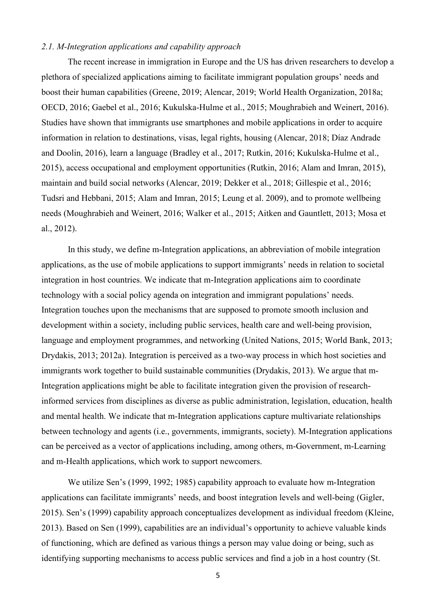### *2.1. M-Integration applications and capability approach*

The recent increase in immigration in Europe and the US has driven researchers to develop a plethora of specialized applications aiming to facilitate immigrant population groups' needs and boost their human capabilities (Greene, 2019; Alencar, 2019; World Health Organization, 2018a; OECD, 2016; Gaebel et al., 2016; Kukulska-Hulme et al., 2015; Moughrabieh and Weinert, 2016). Studies have shown that immigrants use smartphones and mobile applications in order to acquire information in relation to destinations, visas, legal rights, housing (Alencar, 2018; Díaz Andrade and Doolin, 2016), learn a language (Bradley et al., 2017; Rutkin, 2016; Kukulska-Hulme et al., 2015), access occupational and employment opportunities (Rutkin, 2016; Alam and Imran, 2015), maintain and build social networks (Alencar, 2019; Dekker et al., 2018; Gillespie et al., 2016; Tudsri and Hebbani, 2015; Alam and Imran, 2015; Leung et al. 2009), and to promote wellbeing needs (Moughrabieh and Weinert, 2016; Walker et al., 2015; Aitken and Gauntlett, 2013; Mosa et al., 2012).

In this study, we define m-Integration applications, an abbreviation of mobile integration applications, as the use of mobile applications to support immigrants' needs in relation to societal integration in host countries. We indicate that m-Integration applications aim to coordinate technology with a social policy agenda on integration and immigrant populations' needs. Integration touches upon the mechanisms that are supposed to promote smooth inclusion and development within a society, including public services, health care and well-being provision, language and employment programmes, and networking (United Nations, 2015; World Bank, 2013; Drydakis, 2013; 2012a). Integration is perceived as a two-way process in which host societies and immigrants work together to build sustainable communities (Drydakis, 2013). We argue that m-Integration applications might be able to facilitate integration given the provision of researchinformed services from disciplines as diverse as public administration, legislation, education, health and mental health. We indicate that m-Integration applications capture multivariate relationships between technology and agents (i.e., governments, immigrants, society). M-Integration applications can be perceived as a vector of applications including, among others, m-Government, m-Learning and m-Health applications, which work to support newcomers.

We utilize Sen's (1999, 1992; 1985) capability approach to evaluate how m-Integration applications can facilitate immigrants' needs, and boost integration levels and well-being (Gigler, 2015). Sen's (1999) capability approach conceptualizes development as individual freedom (Kleine, 2013). Based on Sen (1999), capabilities are an individual's opportunity to achieve valuable kinds of functioning, which are defined as various things a person may value doing or being, such as identifying supporting mechanisms to access public services and find a job in a host country (St.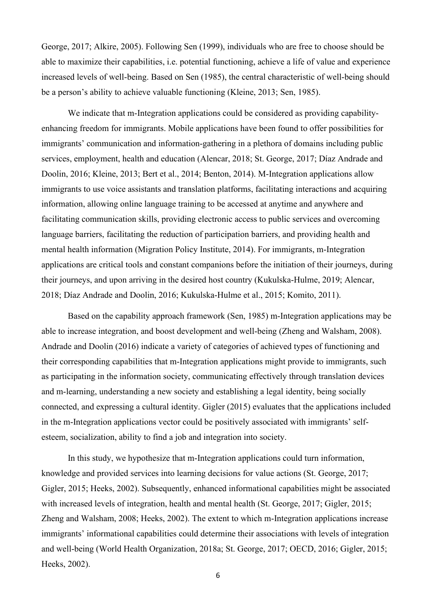George, 2017; Alkire, 2005). Following Sen (1999), individuals who are free to choose should be able to maximize their capabilities, i.e. potential functioning, achieve a life of value and experience increased levels of well-being. Based on Sen (1985), the central characteristic of well-being should be a person's ability to achieve valuable functioning (Kleine, 2013; Sen, 1985).

We indicate that m-Integration applications could be considered as providing capabilityenhancing freedom for immigrants. Mobile applications have been found to offer possibilities for immigrants' communication and information-gathering in a plethora of domains including public services, employment, health and education (Alencar, 2018; St. George, 2017; Díaz Andrade and Doolin, 2016; Kleine, 2013; Bert et al., 2014; Benton, 2014). M-Integration applications allow immigrants to use voice assistants and translation platforms, facilitating interactions and acquiring information, allowing online language training to be accessed at anytime and anywhere and facilitating communication skills, providing electronic access to public services and overcoming language barriers, facilitating the reduction of participation barriers, and providing health and mental health information (Migration Policy Institute, 2014). For immigrants, m-Integration applications are critical tools and constant companions before the initiation of their journeys, during their journeys, and upon arriving in the desired host country (Kukulska-Hulme, 2019; Alencar, 2018; Díaz Andrade and Doolin, 2016; Kukulska-Hulme et al., 2015; Komito, 2011).

Based on the capability approach framework (Sen, 1985) m-Integration applications may be able to increase integration, and boost development and well-being (Zheng and Walsham, 2008). Andrade and Doolin (2016) indicate a variety of categories of achieved types of functioning and their corresponding capabilities that m-Integration applications might provide to immigrants, such as participating in the information society, communicating effectively through translation devices and m-learning, understanding a new society and establishing a legal identity, being socially connected, and expressing a cultural identity. Gigler (2015) evaluates that the applications included in the m-Integration applications vector could be positively associated with immigrants' selfesteem, socialization, ability to find a job and integration into society.

In this study, we hypothesize that m-Integration applications could turn information, knowledge and provided services into learning decisions for value actions (St. George, 2017; Gigler, 2015; Heeks, 2002). Subsequently, enhanced informational capabilities might be associated with increased levels of integration, health and mental health (St. George, 2017; Gigler, 2015; Zheng and Walsham, 2008; Heeks, 2002). The extent to which m-Integration applications increase immigrants' informational capabilities could determine their associations with levels of integration and well-being (World Health Organization, 2018a; St. George, 2017; OECD, 2016; Gigler, 2015; Heeks, 2002).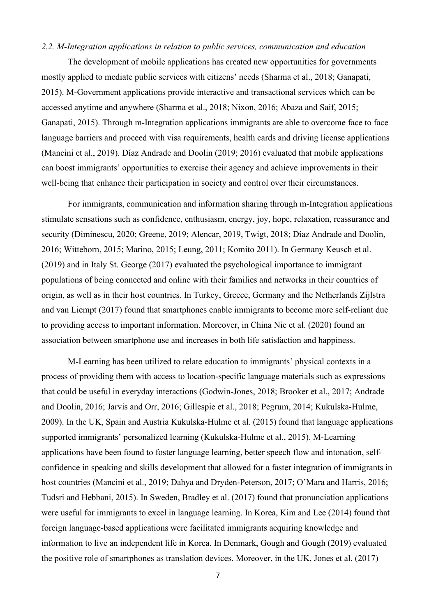#### *2.2. M-Integration applications in relation to public services, communication and education*

The development of mobile applications has created new opportunities for governments mostly applied to mediate public services with citizens' needs (Sharma et al., 2018; Ganapati, 2015). M-Government applications provide interactive and transactional services which can be accessed anytime and anywhere (Sharma et al., 2018; Nixon, 2016; Abaza and Saif, 2015; Ganapati, 2015). Through m-Integration applications immigrants are able to overcome face to face language barriers and proceed with visa requirements, health cards and driving license applications (Mancini et al., 2019). Díaz Andrade and Doolin (2019; 2016) evaluated that mobile applications can boost immigrants' opportunities to exercise their agency and achieve improvements in their well-being that enhance their participation in society and control over their circumstances.

For immigrants, communication and information sharing through m-Integration applications stimulate sensations such as confidence, enthusiasm, energy, joy, hope, relaxation, reassurance and security (Diminescu, 2020; Greene, 2019; Alencar, 2019, Twigt, 2018; Díaz Andrade and Doolin, 2016; Witteborn, 2015; Marino, 2015; Leung, 2011; Komito 2011). In Germany Keusch et al. (2019) and in Italy St. George (2017) evaluated the psychological importance to immigrant populations of being connected and online with their families and networks in their countries of origin, as well as in their host countries. In Turkey, Greece, Germany and the Netherlands Zijlstra and van Liempt (2017) found that smartphones enable immigrants to become more self-reliant due to providing access to important information. Moreover, in China Nie et al. (2020) found an association between smartphone use and increases in both life satisfaction and happiness.

M-Learning has been utilized to relate education to immigrants' physical contexts in a process of providing them with access to location-specific language materials such as expressions that could be useful in everyday interactions (Godwin-Jones, 2018; Brooker et al., 2017; Andrade and Doolin, 2016; Jarvis and Orr, 2016; Gillespie et al., 2018; Pegrum, 2014; Kukulska-Hulme, 2009). In the UK, Spain and Austria Kukulska-Hulme et al. (2015) found that language applications supported immigrants' personalized learning (Kukulska-Hulme et al., 2015). M-Learning applications have been found to foster language learning, better speech flow and intonation, selfconfidence in speaking and skills development that allowed for a faster integration of immigrants in host countries (Mancini et al., 2019; Dahya and Dryden-Peterson, 2017; O'Mara and Harris, 2016; Tudsri and Hebbani, 2015). In Sweden, Bradley et al. (2017) found that pronunciation applications were useful for immigrants to excel in language learning. In Korea, Kim and Lee (2014) found that foreign language-based applications were facilitated immigrants acquiring knowledge and information to live an independent life in Korea. In Denmark, Gough and Gough (2019) evaluated the positive role of smartphones as translation devices. Moreover, in the UK, Jones et al. (2017)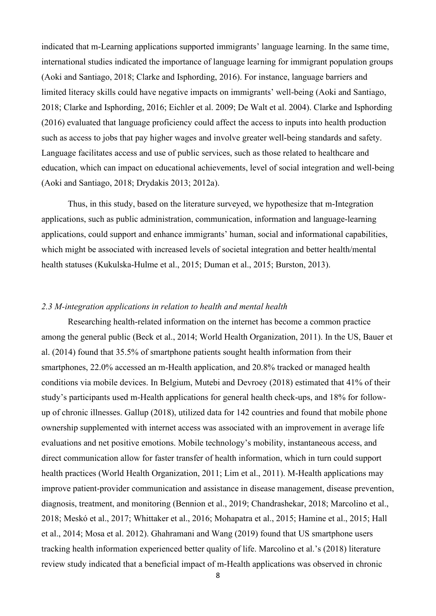indicated that m-Learning applications supported immigrants' language learning. In the same time, international studies indicated the importance of language learning for immigrant population groups (Aoki and Santiago, 2018; Clarke and Isphording, 2016). For instance, language barriers and limited literacy skills could have negative impacts on immigrants' well-being (Aoki and Santiago, 2018; Clarke and Isphording, 2016; Eichler et al. 2009; De Walt et al. 2004). Clarke and Isphording (2016) evaluated that language proficiency could affect the access to inputs into health production such as access to jobs that pay higher wages and involve greater well-being standards and safety. Language facilitates access and use of public services, such as those related to healthcare and education, which can impact on educational achievements, level of social integration and well-being (Aoki and Santiago, 2018; Drydakis 2013; 2012a).

Thus, in this study, based on the literature surveyed, we hypothesize that m-Integration applications, such as public administration, communication, information and language-learning applications, could support and enhance immigrants' human, social and informational capabilities, which might be associated with increased levels of societal integration and better health/mental health statuses (Kukulska-Hulme et al., 2015; Duman et al., 2015; Burston, 2013).

#### *2.3 M-integration applications in relation to health and mental health*

Researching health-related information on the internet has become a common practice among the general public (Beck et al., 2014; World Health Organization, 2011). In the US, Bauer et al. (2014) found that 35.5% of smartphone patients sought health information from their smartphones, 22.0% accessed an m-Health application, and 20.8% tracked or managed health conditions via mobile devices. In Belgium, Mutebi and Devroey (2018) estimated that 41% of their study's participants used m-Health applications for general health check-ups, and 18% for followup of chronic illnesses. Gallup (2018), utilized data for 142 countries and found that mobile phone ownership supplemented with internet access was associated with an improvement in average life evaluations and net positive emotions. Mobile technology's mobility, instantaneous access, and direct communication allow for faster transfer of health information, which in turn could support health practices (World Health Organization, 2011; Lim et al., 2011). M-Health applications may improve patient-provider communication and assistance in disease management, disease prevention, diagnosis, treatment, and monitoring (Bennion et al., 2019; Chandrashekar, 2018; Marcolino et al., 2018; Meskó et al., 2017; Whittaker et al., 2016; Mohapatra et al., 2015; Hamine et al., 2015; Hall et al., 2014; Mosa et al. 2012). Ghahramani and Wang (2019) found that US smartphone users tracking health information experienced better quality of life. Marcolino et al.'s (2018) literature review study indicated that a beneficial impact of m-Health applications was observed in chronic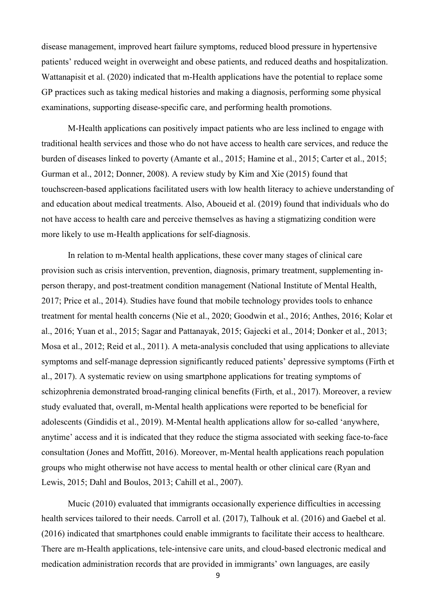disease management, improved heart failure symptoms, reduced blood pressure in hypertensive patients' reduced weight in overweight and obese patients, and reduced deaths and hospitalization. Wattanapisit et al. (2020) indicated that m-Health applications have the potential to replace some GP practices such as taking medical histories and making a diagnosis, performing some physical examinations, supporting disease-specific care, and performing health promotions.

M-Health applications can positively impact patients who are less inclined to engage with traditional health services and those who do not have access to health care services, and reduce the burden of diseases linked to poverty (Amante et al., 2015; Hamine et al., 2015; Carter et al., 2015; Gurman et al., 2012; Donner, 2008). A review study by Kim and Xie (2015) found that touchscreen-based applications facilitated users with low health literacy to achieve understanding of and education about medical treatments. Also, Aboueid et al. (2019) found that individuals who do not have access to health care and perceive themselves as having a stigmatizing condition were more likely to use m-Health applications for self-diagnosis.

In relation to m-Mental health applications, these cover many stages of clinical care provision such as crisis intervention, prevention, diagnosis, primary treatment, supplementing inperson therapy, and post-treatment condition management (National Institute of Mental Health, 2017; Price et al., 2014). Studies have found that mobile technology provides tools to enhance treatment for mental health concerns (Nie et al., 2020; Goodwin et al., 2016; Anthes, 2016; Kolar et al., 2016; Yuan et al., 2015; Sagar and Pattanayak, 2015; Gajecki et al., 2014; Donker et al., 2013; Mosa et al., 2012; Reid et al., 2011). A meta-analysis concluded that using applications to alleviate symptoms and self-manage depression significantly reduced patients' depressive symptoms (Firth et al., 2017). A systematic review on using smartphone applications for treating symptoms of schizophrenia demonstrated broad-ranging clinical benefits (Firth, et al., 2017). Moreover, a review study evaluated that, overall, m-Mental health applications were reported to be beneficial for adolescents (Gindidis et al., 2019). M-Mental health applications allow for so-called 'anywhere, anytime' access and it is indicated that they reduce the stigma associated with seeking face-to-face consultation (Jones and Moffitt, 2016). Moreover, m-Mental health applications reach population groups who might otherwise not have access to mental health or other clinical care (Ryan and Lewis, 2015; Dahl and Boulos, 2013; Cahill et al., 2007).

Mucic (2010) evaluated that immigrants occasionally experience difficulties in accessing health services tailored to their needs. Carroll et al. (2017), Talhouk et al. (2016) and Gaebel et al. (2016) indicated that smartphones could enable immigrants to facilitate their access to healthcare. There are m-Health applications, tele-intensive care units, and cloud-based electronic medical and medication administration records that are provided in immigrants' own languages, are easily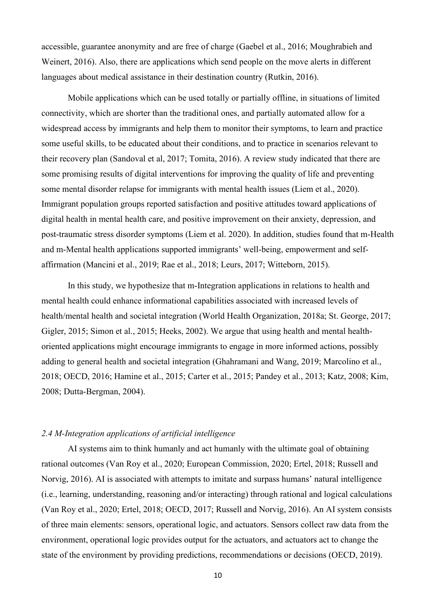accessible, guarantee anonymity and are free of charge (Gaebel et al., 2016; Moughrabieh and Weinert, 2016). Also, there are applications which send people on the move alerts in different languages about medical assistance in their destination country (Rutkin, 2016).

Mobile applications which can be used totally or partially offline, in situations of limited connectivity, which are shorter than the traditional ones, and partially automated allow for a widespread access by immigrants and help them to monitor their symptoms, to learn and practice some useful skills, to be educated about their conditions, and to practice in scenarios relevant to their recovery plan (Sandoval et al, 2017; Tomita, 2016). A review study indicated that there are some promising results of digital interventions for improving the quality of life and preventing some mental disorder relapse for immigrants with mental health issues (Liem et al., 2020). Immigrant population groups reported satisfaction and positive attitudes toward applications of digital health in mental health care, and positive improvement on their anxiety, depression, and post-traumatic stress disorder symptoms (Liem et al. 2020). In addition, studies found that m-Health and m-Mental health applications supported immigrants' well-being, empowerment and selfaffirmation (Mancini et al., 2019; Rae et al., 2018; Leurs, 2017; Witteborn, 2015).

In this study, we hypothesize that m-Integration applications in relations to health and mental health could enhance informational capabilities associated with increased levels of health/mental health and societal integration (World Health Organization, 2018a; St. George, 2017; Gigler, 2015; Simon et al., 2015; Heeks, 2002). We argue that using health and mental healthoriented applications might encourage immigrants to engage in more informed actions, possibly adding to general health and societal integration (Ghahramani and Wang, 2019; Marcolino et al., 2018; OECD, 2016; Hamine et al., 2015; Carter et al., 2015; Pandey et al., 2013; Katz, 2008; Kim, 2008; Dutta-Bergman, 2004).

#### *2.4 M-Integration applications of artificial intelligence*

AI systems aim to think humanly and act humanly with the ultimate goal of obtaining rational outcomes (Van Roy et al., 2020; European Commission, 2020; Ertel, 2018; Russell and Norvig, 2016). AI is associated with attempts to imitate and surpass humans' natural intelligence (i.e., learning, understanding, reasoning and/or interacting) through rational and logical calculations (Van Roy et al., 2020; Ertel, 2018; OECD, 2017; Russell and Norvig, 2016). An AI system consists of three main elements: sensors, operational logic, and actuators. Sensors collect raw data from the environment, operational logic provides output for the actuators, and actuators act to change the state of the environment by providing predictions, recommendations or decisions (OECD, 2019).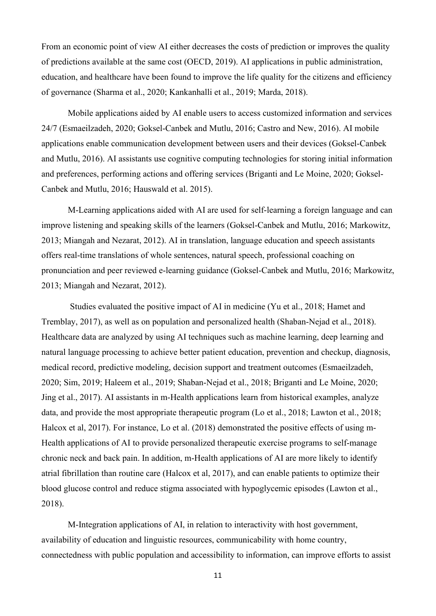From an economic point of view AI either decreases the costs of prediction or improves the quality of predictions available at the same cost (OECD, 2019). AI applications in public administration, education, and healthcare have been found to improve the life quality for the citizens and efficiency of governance (Sharma et al., 2020; Kankanhalli et al., 2019; Marda, 2018).

Mobile applications aided by AI enable users to access customized information and services 24/7 (Esmaeilzadeh, 2020; Goksel-Canbek and Mutlu, 2016; Castro and New, 2016). AI mobile applications enable communication development between users and their devices (Goksel-Canbek and Mutlu, 2016). AI assistants use cognitive computing technologies for storing initial information and preferences, performing actions and offering services (Briganti and Le Moine, 2020; Goksel-Canbek and Mutlu, 2016; Hauswald et al. 2015).

M-Learning applications aided with AI are used for self-learning a foreign language and can improve listening and speaking skills of the learners (Goksel-Canbek and Mutlu, 2016; Markowitz, 2013; Miangah and Nezarat, 2012). AI in translation, language education and speech assistants offers real-time translations of whole sentences, natural speech, professional coaching on pronunciation and peer reviewed e-learning guidance (Goksel-Canbek and Mutlu, 2016; Markowitz, 2013; Miangah and Nezarat, 2012).

Studies evaluated the positive impact of AI in medicine (Yu et al., 2018; Hamet and Tremblay, 2017), as well as on population and personalized health (Shaban-Nejad et al., 2018). Healthcare data are analyzed by using AI techniques such as machine learning, deep learning and natural language processing to achieve better patient education, prevention and checkup, diagnosis, medical record, predictive modeling, decision support and treatment outcomes (Esmaeilzadeh, 2020; Sim, 2019; Haleem et al., 2019; Shaban-Nejad et al., 2018; Briganti and Le Moine, 2020; Jing et al., 2017). AI assistants in m-Health applications learn from historical examples, analyze data, and provide the most appropriate therapeutic program (Lo et al., 2018; Lawton et al., 2018; Halcox et al, 2017). For instance, Lo et al. (2018) demonstrated the positive effects of using m-Health applications of AI to provide personalized therapeutic exercise programs to self-manage chronic neck and back pain. In addition, m-Health applications of AI are more likely to identify atrial fibrillation than routine care (Halcox et al, 2017), and can enable patients to optimize their blood glucose control and reduce stigma associated with hypoglycemic episodes (Lawton et al., 2018).

M-Integration applications of AI, in relation to interactivity with host government, availability of education and linguistic resources, communicability with home country, connectedness with public population and accessibility to information, can improve efforts to assist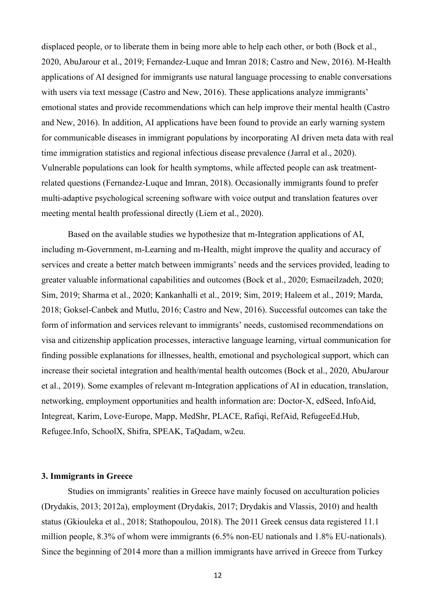displaced people, or to liberate them in being more able to help each other, or both (Bock et al., 2020, AbuJarour et al., 2019; Fernandez-Luque and Imran 2018; Castro and New, 2016). M-Health applications of AI designed for immigrants use natural language processing to enable conversations with users via text message (Castro and New, 2016). These applications analyze immigrants' emotional states and provide recommendations which can help improve their mental health (Castro and New, 2016). In addition, AI applications have been found to provide an early warning system for communicable diseases in immigrant populations by incorporating AI driven meta data with real time immigration statistics and regional infectious disease prevalence (Jarral et al., 2020). Vulnerable populations can look for health symptoms, while affected people can ask treatmentrelated questions (Fernandez-Luque and Imran, 2018). Occasionally immigrants found to prefer multi-adaptive psychological screening software with voice output and translation features over meeting mental health professional directly (Liem et al., 2020).

Based on the available studies we hypothesize that m-Integration applications of AI, including m-Government, m-Learning and m-Health, might improve the quality and accuracy of services and create a better match between immigrants' needs and the services provided, leading to greater valuable informational capabilities and outcomes (Bock et al., 2020; Esmaeilzadeh, 2020; Sim, 2019; Sharma et al., 2020; Kankanhalli et al., 2019; Sim, 2019; Haleem et al., 2019; Marda, 2018; Goksel-Canbek and Mutlu, 2016; Castro and New, 2016). Successful outcomes can take the form of information and services relevant to immigrants' needs, customised recommendations on visa and citizenship application processes, interactive language learning, virtual communication for finding possible explanations for illnesses, health, emotional and psychological support, which can increase their societal integration and health/mental health outcomes (Bock et al., 2020, AbuJarour et al., 2019). Some examples of relevant m-Integration applications of AI in education, translation, networking, employment opportunities and health information are: Doctor-X, edSeed, InfoAid, Integreat, Karim, Love-Europe, Mapp, MedShr, PLACE, Rafiqi, RefAid, RefugeeEd.Hub, Refugee.Info, SchoolX, Shifra, SPEAK, TaQadam, w2eu.

### **3. Immigrants in Greece**

Studies on immigrants' realities in Greece have mainly focused on acculturation policies (Drydakis, 2013; 2012a), employment (Drydakis, 2017; Drydakis and Vlassis, 2010) and health status (Gkiouleka et al., 2018; Stathopoulou, 2018). The 2011 Greek census data registered 11.1 million people, 8.3% of whom were immigrants (6.5% non-EU nationals and 1.8% EU-nationals). Since the beginning of 2014 more than a million immigrants have arrived in Greece from Turkey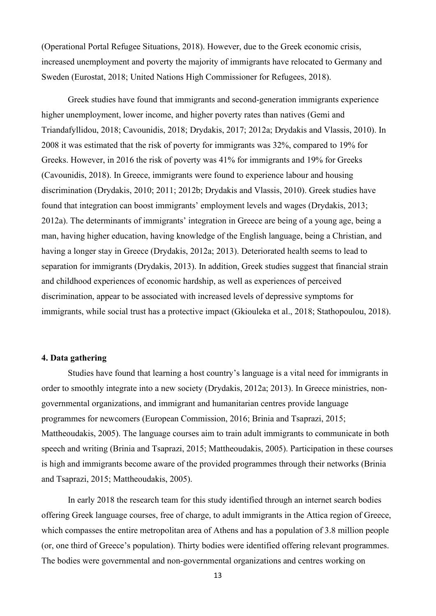(Operational Portal Refugee Situations, 2018). However, due to the Greek economic crisis, increased unemployment and poverty the majority of immigrants have relocated to Germany and Sweden (Eurostat, 2018; United Nations High Commissioner for Refugees, 2018).

Greek studies have found that immigrants and second-generation immigrants experience higher unemployment, lower income, and higher poverty rates than natives (Gemi and Triandafyllidou, 2018; Cavounidis, 2018; Drydakis, 2017; 2012a; Drydakis and Vlassis, 2010). In 2008 it was estimated that the risk of poverty for immigrants was 32%, compared to 19% for Greeks. However, in 2016 the risk of poverty was 41% for immigrants and 19% for Greeks (Cavounidis, 2018). In Greece, immigrants were found to experience labour and housing discrimination (Drydakis, 2010; 2011; 2012b; Drydakis and Vlassis, 2010). Greek studies have found that integration can boost immigrants' employment levels and wages (Drydakis, 2013; 2012a). The determinants of immigrants' integration in Greece are being of a young age, being a man, having higher education, having knowledge of the English language, being a Christian, and having a longer stay in Greece (Drydakis, 2012a; 2013). Deteriorated health seems to lead to separation for immigrants (Drydakis, 2013). In addition, Greek studies suggest that financial strain and childhood experiences of economic hardship, as well as experiences of perceived discrimination, appear to be associated with increased levels of depressive symptoms for immigrants, while social trust has a protective impact (Gkiouleka et al., 2018; Stathopoulou, 2018).

### **4. Data gathering**

Studies have found that learning a host country's language is a vital need for immigrants in order to smoothly integrate into a new society (Drydakis, 2012a; 2013). In Greece ministries, nongovernmental organizations, and immigrant and humanitarian centres provide language programmes for newcomers (European Commission, 2016; Brinia and Tsaprazi, 2015; Mattheoudakis, 2005). The language courses aim to train adult immigrants to communicate in both speech and writing (Brinia and Tsaprazi, 2015; Mattheoudakis, 2005). Participation in these courses is high and immigrants become aware of the provided programmes through their networks (Brinia and Tsaprazi, 2015; Mattheoudakis, 2005).

In early 2018 the research team for this study identified through an internet search bodies offering Greek language courses, free of charge, to adult immigrants in the Attica region of Greece, which compasses the entire metropolitan area of Athens and has a population of 3.8 million people (or, one third of Greece's population). Thirty bodies were identified offering relevant programmes. The bodies were governmental and non-governmental organizations and centres working on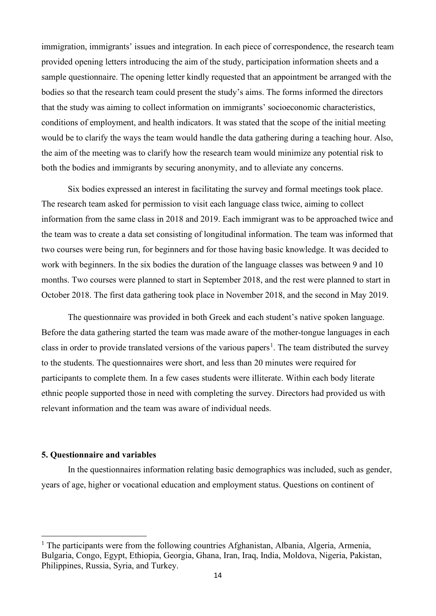immigration, immigrants' issues and integration. In each piece of correspondence, the research team provided opening letters introducing the aim of the study, participation information sheets and a sample questionnaire. The opening letter kindly requested that an appointment be arranged with the bodies so that the research team could present the study's aims. The forms informed the directors that the study was aiming to collect information on immigrants' socioeconomic characteristics, conditions of employment, and health indicators. It was stated that the scope of the initial meeting would be to clarify the ways the team would handle the data gathering during a teaching hour. Also, the aim of the meeting was to clarify how the research team would minimize any potential risk to both the bodies and immigrants by securing anonymity, and to alleviate any concerns.

Six bodies expressed an interest in facilitating the survey and formal meetings took place. The research team asked for permission to visit each language class twice, aiming to collect information from the same class in 2018 and 2019. Each immigrant was to be approached twice and the team was to create a data set consisting of longitudinal information. The team was informed that two courses were being run, for beginners and for those having basic knowledge. It was decided to work with beginners. In the six bodies the duration of the language classes was between 9 and 10 months. Two courses were planned to start in September 2018, and the rest were planned to start in October 2018. The first data gathering took place in November 2018, and the second in May 2019.

The questionnaire was provided in both Greek and each student's native spoken language. Before the data gathering started the team was made aware of the mother-tongue languages in each class in order to provide translated versions of the various papers<sup>[1](#page-13-0)</sup>. The team distributed the survey to the students. The questionnaires were short, and less than 20 minutes were required for participants to complete them. In a few cases students were illiterate. Within each body literate ethnic people supported those in need with completing the survey. Directors had provided us with relevant information and the team was aware of individual needs.

#### **5. Questionnaire and variables**

In the questionnaires information relating basic demographics was included, such as gender, years of age, higher or vocational education and employment status. Questions on continent of

<span id="page-13-0"></span> $<sup>1</sup>$  The participants were from the following countries Afghanistan, Albania, Algeria, Armenia,</sup> Bulgaria, Congo, Egypt, Ethiopia, Georgia, Ghana, Iran, Iraq, India, Moldova, Nigeria, Pakistan, Philippines, Russia, Syria, and Turkey.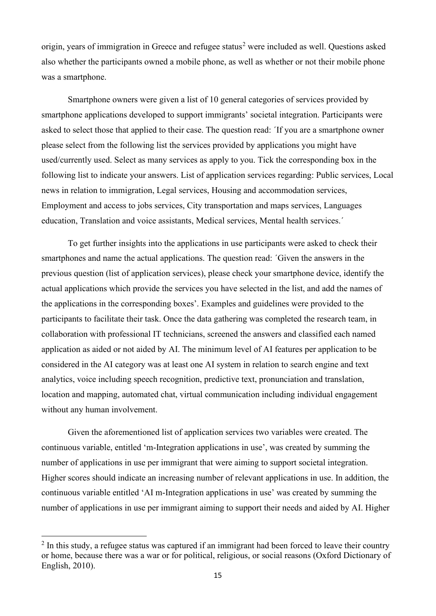origin, years of immigration in Greece and refugee status<sup>[2](#page-14-0)</sup> were included as well. Ouestions asked also whether the participants owned a mobile phone, as well as whether or not their mobile phone was a smartphone.

Smartphone owners were given a list of 10 general categories of services provided by smartphone applications developed to support immigrants' societal integration. Participants were asked to select those that applied to their case. The question read: ΄If you are a smartphone owner please select from the following list the services provided by applications you might have used/currently used. Select as many services as apply to you. Tick the corresponding box in the following list to indicate your answers. List of application services regarding: Public services, Local news in relation to immigration, Legal services, Housing and accommodation services, Employment and access to jobs services, City transportation and maps services, Languages education, Translation and voice assistants, Medical services, Mental health services.΄

To get further insights into the applications in use participants were asked to check their smartphones and name the actual applications. The question read: ΄Given the answers in the previous question (list of application services), please check your smartphone device, identify the actual applications which provide the services you have selected in the list, and add the names of the applications in the corresponding boxes'. Examples and guidelines were provided to the participants to facilitate their task. Once the data gathering was completed the research team, in collaboration with professional IT technicians, screened the answers and classified each named application as aided or not aided by AI. The minimum level of AI features per application to be considered in the AI category was at least one AI system in relation to search engine and text analytics, voice including speech recognition, predictive text, pronunciation and translation, location and mapping, automated chat, virtual communication including individual engagement without any human involvement.

Given the aforementioned list of application services two variables were created. The continuous variable, entitled 'm-Integration applications in use', was created by summing the number of applications in use per immigrant that were aiming to support societal integration. Higher scores should indicate an increasing number of relevant applications in use. In addition, the continuous variable entitled 'AI m-Integration applications in use' was created by summing the number of applications in use per immigrant aiming to support their needs and aided by AI. Higher

<span id="page-14-0"></span> $2 \text{ In this study, a reflex that us was captured if an immigration had been forced to leave their country.}$ or home, because there was a war or for political, religious, or social reasons (Oxford Dictionary of English, 2010).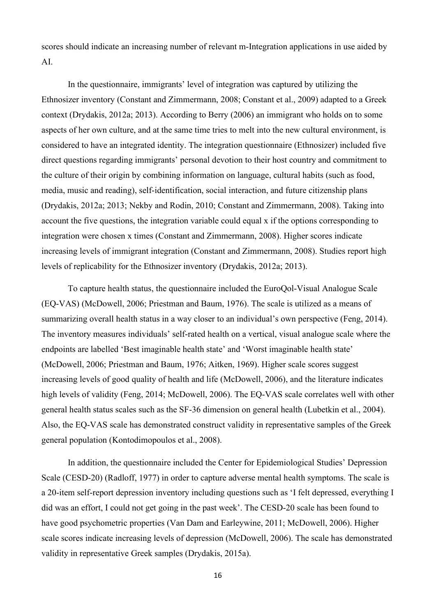scores should indicate an increasing number of relevant m-Integration applications in use aided by AI.

In the questionnaire, immigrants' level of integration was captured by utilizing the Ethnosizer inventory (Constant and Zimmermann, 2008; Constant et al., 2009) adapted to a Greek context (Drydakis, 2012a; 2013). According to Berry (2006) an immigrant who holds on to some aspects of her own culture, and at the same time tries to melt into the new cultural environment, is considered to have an integrated identity. The integration questionnaire (Ethnosizer) included five direct questions regarding immigrants' personal devotion to their host country and commitment to the culture of their origin by combining information on language, cultural habits (such as food, media, music and reading), self-identification, social interaction, and future citizenship plans (Drydakis, 2012a; 2013; Nekby and Rodin, 2010; Constant and Zimmermann, 2008). Taking into account the five questions, the integration variable could equal x if the options corresponding to integration were chosen x times (Constant and Zimmermann, 2008). Higher scores indicate increasing levels of immigrant integration (Constant and Zimmermann, 2008). Studies report high levels of replicability for the Ethnosizer inventory (Drydakis, 2012a; 2013).

To capture health status, the questionnaire included the EuroQol-Visual Analogue Scale (EQ-VAS) (McDowell, 2006; Priestman and Baum, 1976). The scale is utilized as a means of summarizing overall health status in a way closer to an individual's own perspective (Feng, 2014). The inventory measures individuals' self-rated health on a vertical, visual analogue scale where the endpoints are labelled 'Best imaginable health state' and 'Worst imaginable health state' (McDowell, 2006; Priestman and Baum, 1976; Aitken, 1969). Higher scale scores suggest increasing levels of good quality of health and life (McDowell, 2006), and the literature indicates high levels of validity (Feng, 2014; McDowell, 2006). The EQ-VAS scale correlates well with other general health status scales such as the SF-36 dimension on general health (Lubetkin et al., 2004). Also, the EQ-VAS scale has demonstrated construct validity in representative samples of the Greek general population (Kontodimopoulos et al., 2008).

In addition, the questionnaire included the Center for Epidemiological Studies' Depression Scale (CESD-20) (Radloff, 1977) in order to capture adverse mental health symptoms. The scale is a 20-item self-report depression inventory including questions such as 'I felt depressed, everything I did was an effort, I could not get going in the past week'. The CESD-20 scale has been found to have good psychometric properties (Van Dam and Earleywine, 2011; McDowell, 2006). Higher scale scores indicate increasing levels of depression (McDowell, 2006). The scale has demonstrated validity in representative Greek samples (Drydakis, 2015a).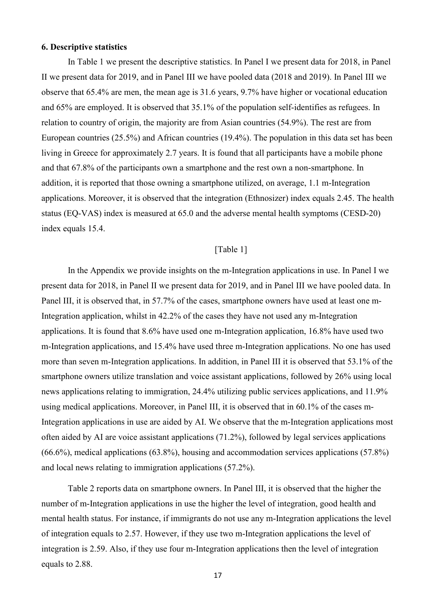### **6. Descriptive statistics**

In Table 1 we present the descriptive statistics. In Panel I we present data for 2018, in Panel II we present data for 2019, and in Panel III we have pooled data (2018 and 2019). In Panel III we observe that 65.4% are men, the mean age is 31.6 years, 9.7% have higher or vocational education and 65% are employed. It is observed that 35.1% of the population self-identifies as refugees. In relation to country of origin, the majority are from Asian countries (54.9%). The rest are from European countries (25.5%) and African countries (19.4%). The population in this data set has been living in Greece for approximately 2.7 years. It is found that all participants have a mobile phone and that 67.8% of the participants own a smartphone and the rest own a non-smartphone. In addition, it is reported that those owning a smartphone utilized, on average, 1.1 m-Integration applications. Moreover, it is observed that the integration (Ethnosizer) index equals 2.45. The health status (EQ-VAS) index is measured at 65.0 and the adverse mental health symptoms (CESD-20) index equals 15.4.

### [Table 1]

In the Appendix we provide insights on the m-Integration applications in use. In Panel I we present data for 2018, in Panel II we present data for 2019, and in Panel III we have pooled data. In Panel III, it is observed that, in 57.7% of the cases, smartphone owners have used at least one m-Integration application, whilst in 42.2% of the cases they have not used any m-Integration applications. It is found that 8.6% have used one m-Integration application, 16.8% have used two m-Integration applications, and 15.4% have used three m-Integration applications. No one has used more than seven m-Integration applications. In addition, in Panel III it is observed that 53.1% of the smartphone owners utilize translation and voice assistant applications, followed by 26% using local news applications relating to immigration, 24.4% utilizing public services applications, and 11.9% using medical applications. Moreover, in Panel III, it is observed that in 60.1% of the cases m-Integration applications in use are aided by AI. We observe that the m-Integration applications most often aided by AI are voice assistant applications (71.2%), followed by legal services applications (66.6%), medical applications (63.8%), housing and accommodation services applications (57.8%) and local news relating to immigration applications (57.2%).

Table 2 reports data on smartphone owners. In Panel III, it is observed that the higher the number of m-Integration applications in use the higher the level of integration, good health and mental health status. For instance, if immigrants do not use any m-Integration applications the level of integration equals to 2.57. However, if they use two m-Integration applications the level of integration is 2.59. Also, if they use four m-Integration applications then the level of integration equals to 2.88.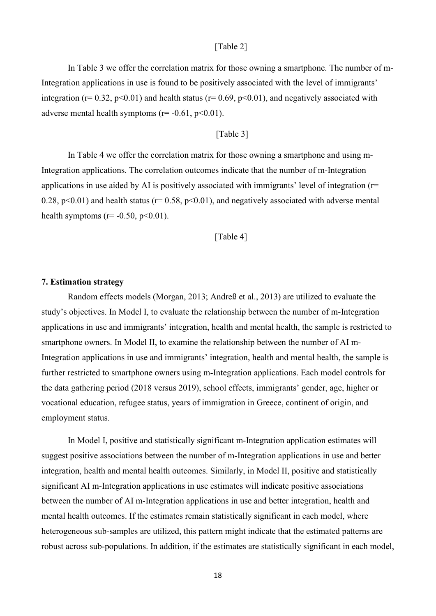### [Table 2]

In Table 3 we offer the correlation matrix for those owning a smartphone. The number of m-Integration applications in use is found to be positively associated with the level of immigrants' integration ( $r= 0.32$ ,  $p<0.01$ ) and health status ( $r= 0.69$ ,  $p<0.01$ ), and negatively associated with adverse mental health symptoms ( $r = -0.61$ ,  $p < 0.01$ ).

# [Table 3]

In Table 4 we offer the correlation matrix for those owning a smartphone and using m-Integration applications. The correlation outcomes indicate that the number of m-Integration applications in use aided by AI is positively associated with immigrants' level of integration (r= 0.28,  $p<0.01$ ) and health status ( $r= 0.58$ ,  $p<0.01$ ), and negatively associated with adverse mental health symptoms ( $r = -0.50$ ,  $p < 0.01$ ).

### [Table 4]

#### **7. Estimation strategy**

Random effects models (Morgan, 2013; Andreß et al., 2013) are utilized to evaluate the study's objectives. In Model I, to evaluate the relationship between the number of m-Integration applications in use and immigrants' integration, health and mental health, the sample is restricted to smartphone owners. In Model II, to examine the relationship between the number of AI m-Integration applications in use and immigrants' integration, health and mental health, the sample is further restricted to smartphone owners using m-Integration applications. Each model controls for the data gathering period (2018 versus 2019), school effects, immigrants' gender, age, higher or vocational education, refugee status, years of immigration in Greece, continent of origin, and employment status.

In Model I, positive and statistically significant m-Integration application estimates will suggest positive associations between the number of m-Integration applications in use and better integration, health and mental health outcomes. Similarly, in Model II, positive and statistically significant AI m-Integration applications in use estimates will indicate positive associations between the number of AI m-Integration applications in use and better integration, health and mental health outcomes. If the estimates remain statistically significant in each model, where heterogeneous sub-samples are utilized, this pattern might indicate that the estimated patterns are robust across sub-populations. In addition, if the estimates are statistically significant in each model,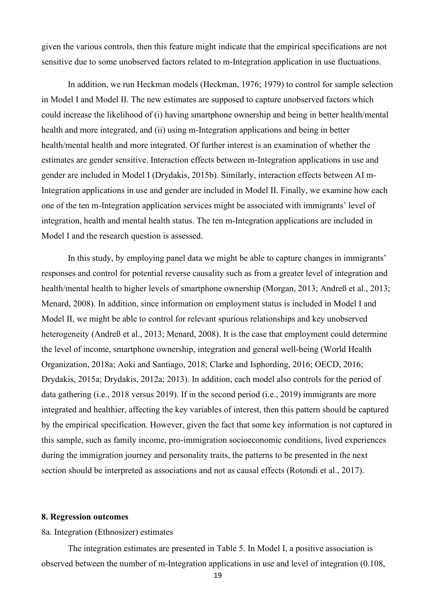given the various controls, then this feature might indicate that the empirical specifications are not sensitive due to some unobserved factors related to m-Integration application in use fluctuations.

In addition, we run Heckman models (Heckman, 1976; 1979) to control for sample selection in Model I and Model II. The new estimates are supposed to capture unobserved factors which could increase the likelihood of (i) having smartphone ownership and being in better health/mental health and more integrated, and (ii) using m-Integration applications and being in better health/mental health and more integrated. Of further interest is an examination of whether the estimates are gender sensitive. Interaction effects between m-Integration applications in use and gender are included in Model I (Drydakis, 2015b). Similarly, interaction effects between AI m-Integration applications in use and gender are included in Model II. Finally, we examine how each one of the ten m-Integration application services might be associated with immigrants' level of integration, health and mental health status. The ten m-Integration applications are included in Model I and the research question is assessed.

In this study, by employing panel data we might be able to capture changes in immigrants' responses and control for potential reverse causality such as from a greater level of integration and health/mental health to higher levels of smartphone ownership (Morgan, 2013; Andreß et al., 2013; Menard, 2008). In addition, since information on employment status is included in Model I and Model II, we might be able to control for relevant spurious relationships and key unobserved heterogeneity (Andreß et al., 2013; Menard, 2008). It is the case that employment could determine the level of income, smartphone ownership, integration and general well-being (World Health Organization, 2018a; Aoki and Santiago, 2018; Clarke and Isphording, 2016; OECD, 2016; Drydakis, 2015a; Drydakis, 2012a; 2013). In addition, each model also controls for the period of data gathering (i.e., 2018 versus 2019). If in the second period (i.e., 2019) immigrants are more integrated and healthier, affecting the key variables of interest, then this pattern should be captured by the empirical specification. However, given the fact that some key information is not captured in this sample, such as family income, pro-immigration socioeconomic conditions, lived experiences during the immigration journey and personality traits, the patterns to be presented in the next section should be interpreted as associations and not as causal effects (Rotondi et al., 2017).

#### **8. Regression outcomes**

8a. Integration (Ethnosizer) estimates

The integration estimates are presented in Table 5. In Model I, a positive association is observed between the number of m-Integration applications in use and level of integration (0.108,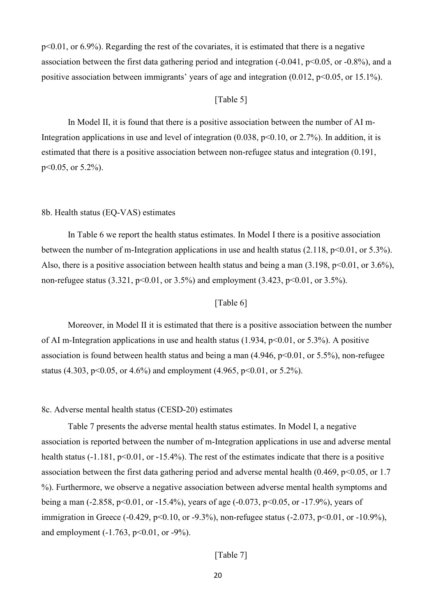p<0.01, or 6.9%). Regarding the rest of the covariates, it is estimated that there is a negative association between the first data gathering period and integration  $(-0.041, p<0.05, or -0.8\%)$ , and a positive association between immigrants' years of age and integration  $(0.012, p<0.05, or 15.1\%)$ .

### [Table 5]

In Model II, it is found that there is a positive association between the number of AI m-Integration applications in use and level of integration  $(0.038, p<0.10, or 2.7%)$ . In addition, it is estimated that there is a positive association between non-refugee status and integration (0.191, p<0.05, or 5.2%).

#### 8b. Health status (EQ-VAS) estimates

In Table 6 we report the health status estimates. In Model I there is a positive association between the number of m-Integration applications in use and health status  $(2.118, p<0.01, or 5.3\%)$ . Also, there is a positive association between health status and being a man  $(3.198, p<0.01, or 3.6\%)$ , non-refugee status (3.321, p<0.01, or 3.5%) and employment (3.423, p<0.01, or 3.5%).

### [Table 6]

Moreover, in Model II it is estimated that there is a positive association between the number of AI m-Integration applications in use and health status  $(1.934, p<0.01, or 5.3%)$ . A positive association is found between health status and being a man  $(4.946, p<0.01, or 5.5\%)$ , non-refugee status (4.303, p<0.05, or 4.6%) and employment (4.965, p<0.01, or 5.2%).

#### 8c. Adverse mental health status (CESD-20) estimates

Table 7 presents the adverse mental health status estimates. In Model I, a negative association is reported between the number of m-Integration applications in use and adverse mental health status (-1.181, p<0.01, or -15.4%). The rest of the estimates indicate that there is a positive association between the first data gathering period and adverse mental health  $(0.469, p<0.05, or 1.7)$ %). Furthermore, we observe a negative association between adverse mental health symptoms and being a man (-2.858, p<0.01, or -15.4%), years of age (-0.073, p<0.05, or -17.9%), years of immigration in Greece (-0.429, p<0.10, or -9.3%), non-refugee status (-2.073, p<0.01, or -10.9%), and employment  $(-1.763, p<0.01, or -9\%)$ .

# [Table 7]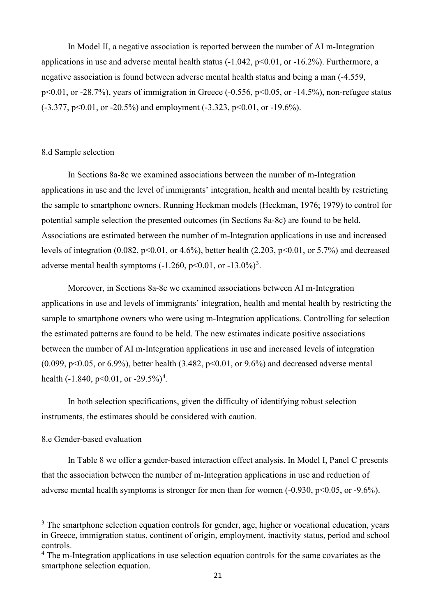In Model II, a negative association is reported between the number of AI m-Integration applications in use and adverse mental health status  $(-1.042, p<0.01, or -16.2\%)$ . Furthermore, a negative association is found between adverse mental health status and being a man (-4.559, p<0.01, or -28.7%), years of immigration in Greece (-0.556, p<0.05, or -14.5%), non-refugee status  $(-3.377, p<0.01, or -20.5%)$  and employment  $(-3.323, p<0.01, or -19.6%).$ 

#### 8.d Sample selection

In Sections 8a-8c we examined associations between the number of m-Integration applications in use and the level of immigrants' integration, health and mental health by restricting the sample to smartphone owners. Running Heckman models (Heckman, 1976; 1979) to control for potential sample selection the presented outcomes (in Sections 8a-8c) are found to be held. Associations are estimated between the number of m-Integration applications in use and increased levels of integration  $(0.082, p<0.01, or 4.6%)$ , better health  $(2.203, p<0.01, or 5.7%)$  and decreased adverse mental health symptoms  $(-1.260, p<0.01, \text{ or } -13.0\%)^3$  $(-1.260, p<0.01, \text{ or } -13.0\%)^3$  $(-1.260, p<0.01, \text{ or } -13.0\%)^3$ .

Moreover, in Sections 8a-8c we examined associations between AI m-Integration applications in use and levels of immigrants' integration, health and mental health by restricting the sample to smartphone owners who were using m-Integration applications. Controlling for selection the estimated patterns are found to be held. The new estimates indicate positive associations between the number of AI m-Integration applications in use and increased levels of integration (0.099,  $p<0.05$ , or 6.9%), better health (3.482,  $p<0.01$ , or 9.6%) and decreased adverse mental health  $(-1.840, p<0.01, or -29.5\%)<sup>4</sup>$  $(-1.840, p<0.01, or -29.5\%)<sup>4</sup>$  $(-1.840, p<0.01, or -29.5\%)<sup>4</sup>$ .

In both selection specifications, given the difficulty of identifying robust selection instruments, the estimates should be considered with caution.

### 8.e Gender-based evaluation

In Table 8 we offer a gender-based interaction effect analysis. In Model I, Panel C presents that the association between the number of m-Integration applications in use and reduction of adverse mental health symptoms is stronger for men than for women  $(-0.930, p<0.05, or -9.6%)$ .

<span id="page-20-0"></span> $3$  The smartphone selection equation controls for gender, age, higher or vocational education, years in Greece, immigration status, continent of origin, employment, inactivity status, period and school controls.

<span id="page-20-1"></span><sup>&</sup>lt;sup>4</sup> The m-Integration applications in use selection equation controls for the same covariates as the smartphone selection equation.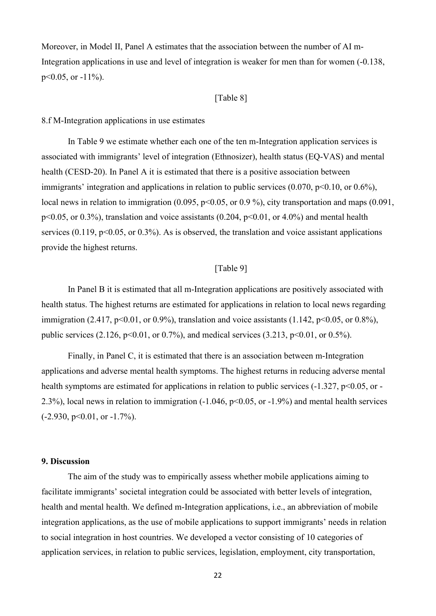Moreover, in Model II, Panel A estimates that the association between the number of AI m-Integration applications in use and level of integration is weaker for men than for women (-0.138,  $p<0.05$ , or  $-11\%$ ).

### [Table 8]

#### 8.f M-Integration applications in use estimates

In Table 9 we estimate whether each one of the ten m-Integration application services is associated with immigrants' level of integration (Ethnosizer), health status (EQ-VAS) and mental health (CESD-20). In Panel A it is estimated that there is a positive association between immigrants' integration and applications in relation to public services  $(0.070, p<0.10, or 0.6\%)$ , local news in relation to immigration (0.095,  $p<0.05$ , or 0.9%), city transportation and maps (0.091,  $p<0.05$ , or 0.3%), translation and voice assistants (0.204,  $p<0.01$ , or 4.0%) and mental health services (0.119,  $p<0.05$ , or 0.3%). As is observed, the translation and voice assistant applications provide the highest returns.

## [Table 9]

In Panel B it is estimated that all m-Integration applications are positively associated with health status. The highest returns are estimated for applications in relation to local news regarding immigration (2.417,  $p<0.01$ , or 0.9%), translation and voice assistants (1.142,  $p<0.05$ , or 0.8%), public services (2.126, p<0.01, or 0.7%), and medical services (3.213, p<0.01, or 0.5%).

Finally, in Panel C, it is estimated that there is an association between m-Integration applications and adverse mental health symptoms. The highest returns in reducing adverse mental health symptoms are estimated for applications in relation to public services  $(-1.327, p<0.05, or -$ 2.3%), local news in relation to immigration (-1.046, p<0.05, or -1.9%) and mental health services  $(-2.930, p<0.01, or -1.7\%)$ .

### **9. Discussion**

The aim of the study was to empirically assess whether mobile applications aiming to facilitate immigrants' societal integration could be associated with better levels of integration, health and mental health. We defined m-Integration applications, i.e., an abbreviation of mobile integration applications, as the use of mobile applications to support immigrants' needs in relation to social integration in host countries. We developed a vector consisting of 10 categories of application services, in relation to public services, legislation, employment, city transportation,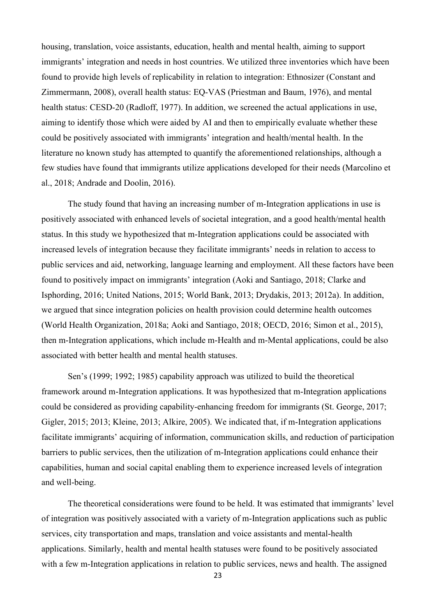housing, translation, voice assistants, education, health and mental health, aiming to support immigrants' integration and needs in host countries. We utilized three inventories which have been found to provide high levels of replicability in relation to integration: Ethnosizer (Constant and Zimmermann, 2008), overall health status: EQ-VAS (Priestman and Baum, 1976), and mental health status: CESD-20 (Radloff, 1977). In addition, we screened the actual applications in use, aiming to identify those which were aided by AI and then to empirically evaluate whether these could be positively associated with immigrants' integration and health/mental health. In the literature no known study has attempted to quantify the aforementioned relationships, although a few studies have found that immigrants utilize applications developed for their needs (Marcolino et al., 2018; Andrade and Doolin, 2016).

The study found that having an increasing number of m-Integration applications in use is positively associated with enhanced levels of societal integration, and a good health/mental health status. In this study we hypothesized that m-Integration applications could be associated with increased levels of integration because they facilitate immigrants' needs in relation to access to public services and aid, networking, language learning and employment. All these factors have been found to positively impact on immigrants' integration (Aoki and Santiago, 2018; Clarke and Isphording, 2016; United Nations, 2015; World Bank, 2013; Drydakis, 2013; 2012a). In addition, we argued that since integration policies on health provision could determine health outcomes (World Health Organization, 2018a; Aoki and Santiago, 2018; OECD, 2016; Simon et al., 2015), then m-Integration applications, which include m-Health and m-Mental applications, could be also associated with better health and mental health statuses.

Sen's (1999; 1992; 1985) capability approach was utilized to build the theoretical framework around m-Integration applications. It was hypothesized that m-Integration applications could be considered as providing capability-enhancing freedom for immigrants (St. George, 2017; Gigler, 2015; 2013; Kleine, 2013; Alkire, 2005). We indicated that, if m-Integration applications facilitate immigrants' acquiring of information, communication skills, and reduction of participation barriers to public services, then the utilization of m-Integration applications could enhance their capabilities, human and social capital enabling them to experience increased levels of integration and well-being.

The theoretical considerations were found to be held. It was estimated that immigrants' level of integration was positively associated with a variety of m-Integration applications such as public services, city transportation and maps, translation and voice assistants and mental-health applications. Similarly, health and mental health statuses were found to be positively associated with a few m-Integration applications in relation to public services, news and health. The assigned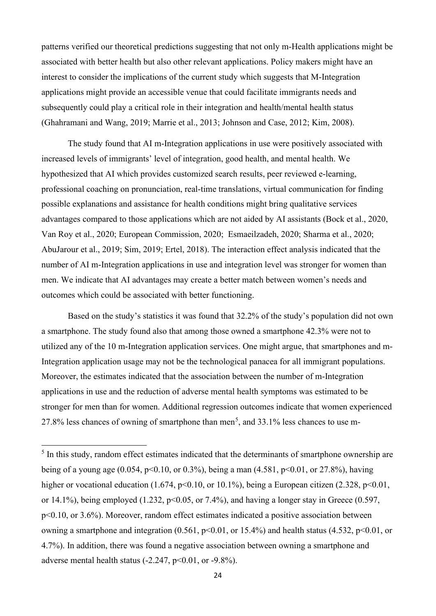patterns verified our theoretical predictions suggesting that not only m-Health applications might be associated with better health but also other relevant applications. Policy makers might have an interest to consider the implications of the current study which suggests that M-Integration applications might provide an accessible venue that could facilitate immigrants needs and subsequently could play a critical role in their integration and health/mental health status (Ghahramani and Wang, 2019; Marrie et al., 2013; Johnson and Case, 2012; Kim, 2008).

The study found that AI m-Integration applications in use were positively associated with increased levels of immigrants' level of integration, good health, and mental health. We hypothesized that AI which provides customized search results, peer reviewed e-learning, professional coaching on pronunciation, real-time translations, virtual communication for finding possible explanations and assistance for health conditions might bring qualitative services advantages compared to those applications which are not aided by AI assistants (Bock et al., 2020, Van Roy et al., 2020; European Commission, 2020; Esmaeilzadeh, 2020; Sharma et al., 2020; AbuJarour et al., 2019; Sim, 2019; Ertel, 2018). The interaction effect analysis indicated that the number of AI m-Integration applications in use and integration level was stronger for women than men. We indicate that AI advantages may create a better match between women's needs and outcomes which could be associated with better functioning.

Based on the study's statistics it was found that 32.2% of the study's population did not own a smartphone. The study found also that among those owned a smartphone 42.3% were not to utilized any of the 10 m-Integration application services. One might argue, that smartphones and m-Integration application usage may not be the technological panacea for all immigrant populations. Moreover, the estimates indicated that the association between the number of m-Integration applications in use and the reduction of adverse mental health symptoms was estimated to be stronger for men than for women. Additional regression outcomes indicate that women experienced 27.8% less chances of owning of smartphone than men<sup>[5](#page-23-0)</sup>, and 33.1% less chances to use m-

<span id="page-23-0"></span> $<sup>5</sup>$  In this study, random effect estimates indicated that the determinants of smartphone ownership are</sup> being of a young age (0.054, p<0.10, or 0.3%), being a man (4.581, p<0.01, or 27.8%), having higher or vocational education (1.674,  $p<0.10$ , or 10.1%), being a European citizen (2.328,  $p<0.01$ , or 14.1%), being employed (1.232,  $p<0.05$ , or 7.4%), and having a longer stay in Greece (0.597, p<0.10, or 3.6%). Moreover, random effect estimates indicated a positive association between owning a smartphone and integration  $(0.561, p<0.01, or 15.4%)$  and health status  $(4.532, p<0.01, or 1.01)$ 4.7%). In addition, there was found a negative association between owning a smartphone and adverse mental health status  $(-2.247, p<0.01, or -9.8\%)$ .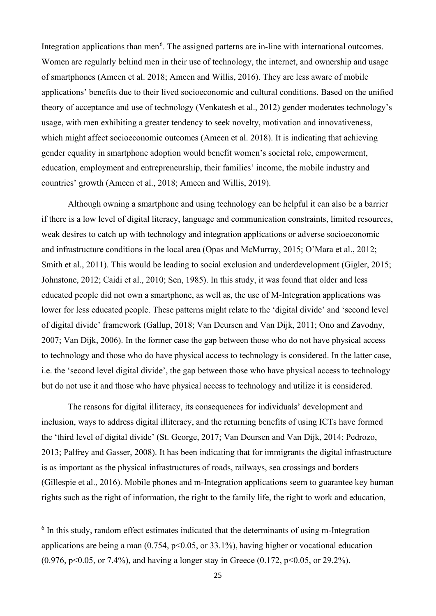Integration applications than men<sup>[6](#page-24-0)</sup>. The assigned patterns are in-line with international outcomes. Women are regularly behind men in their use of technology, the internet, and ownership and usage of smartphones (Ameen et al. 2018; Ameen and Willis, 2016). They are less aware of mobile applications' benefits due to their lived socioeconomic and cultural conditions. Based on the unified theory of acceptance and use of technology (Venkatesh et al., 2012) gender moderates technology's usage, with men exhibiting a greater tendency to seek novelty, motivation and innovativeness, which might affect socioeconomic outcomes (Ameen et al. 2018). It is indicating that achieving gender equality in smartphone adoption would benefit women's societal role, empowerment, education, employment and entrepreneurship, their families' income, the mobile industry and countries' growth (Ameen et al., 2018; Ameen and Willis, 2019).

Although owning a smartphone and using technology can be helpful it can also be a barrier if there is a low level of digital literacy, language and communication constraints, limited resources, weak desires to catch up with technology and integration applications or adverse socioeconomic and infrastructure conditions in the local area (Opas and McMurray, 2015; O'Mara et al., 2012; Smith et al., 2011). This would be leading to social exclusion and underdevelopment (Gigler, 2015; Johnstone, 2012; Caidi et al., 2010; Sen, 1985). In this study, it was found that older and less educated people did not own a smartphone, as well as, the use of M-Integration applications was lower for less educated people. These patterns might relate to the 'digital divide' and 'second level of digital divide' framework (Gallup, 2018; Van Deursen and Van Dijk, 2011; Ono and Zavodny, 2007; Van Dijk, 2006). In the former case the gap between those who do not have physical access to technology and those who do have physical access to technology is considered. In the latter case, i.e. the 'second level digital divide', the gap between those who have physical access to technology but do not use it and those who have physical access to technology and utilize it is considered.

The reasons for digital illiteracy, its consequences for individuals' development and inclusion, ways to address digital illiteracy, and the returning benefits of using ICTs have formed the 'third level of digital divide' (St. George, 2017; Van Deursen and Van Dijk, 2014; Pedrozo, 2013; Palfrey and Gasser, 2008). It has been indicating that for immigrants the digital infrastructure is as important as the physical infrastructures of roads, railways, sea crossings and borders (Gillespie et al., 2016). Mobile phones and m-Integration applications seem to guarantee key human rights such as the right of information, the right to the family life, the right to work and education,

<span id="page-24-0"></span><sup>&</sup>lt;sup>6</sup> In this study, random effect estimates indicated that the determinants of using m-Integration applications are being a man  $(0.754, p<0.05, or 33.1%)$ , having higher or vocational education  $(0.976, p<0.05, or 7.4\%)$ , and having a longer stay in Greece  $(0.172, p<0.05, or 29.2\%)$ .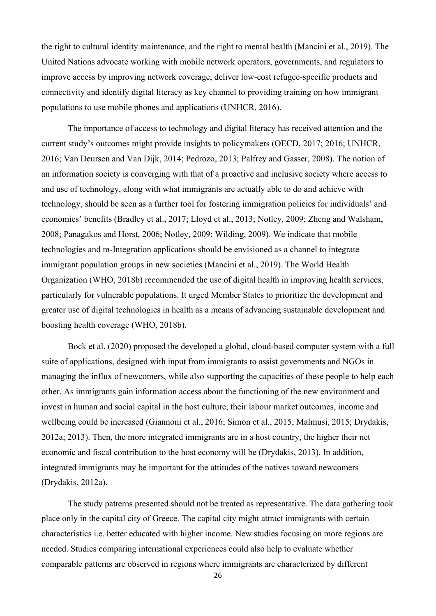the right to cultural identity maintenance, and the right to mental health (Mancini et al., 2019). The United Nations advocate working with mobile network operators, governments, and regulators to improve access by improving network coverage, deliver low-cost refugee-specific products and connectivity and identify digital literacy as key channel to providing training on how immigrant populations to use mobile phones and applications (UNHCR, 2016).

The importance of access to technology and digital literacy has received attention and the current study's outcomes might provide insights to policymakers (OECD, 2017; 2016; UNHCR, 2016; Van Deursen and Van Dijk, 2014; Pedrozo, 2013; Palfrey and Gasser, 2008). The notion of an information society is converging with that of a proactive and inclusive society where access to and use of technology, along with what immigrants are actually able to do and achieve with technology, should be seen as a further tool for fostering immigration policies for individuals' and economies' benefits (Bradley et al., 2017; Lloyd et al., 2013; Notley, 2009; Zheng and Walsham, 2008; Panagakos and Horst, 2006; Notley, 2009; Wilding, 2009). We indicate that mobile technologies and m-Integration applications should be envisioned as a channel to integrate immigrant population groups in new societies (Mancini et al., 2019). The World Health Organization (WHO, 2018b) recommended the use of digital health in improving health services, particularly for vulnerable populations. It urged Member States to prioritize the development and greater use of digital technologies in health as a means of advancing sustainable development and boosting health coverage (WHO, 2018b).

Bock et al. (2020) proposed the developed a global, cloud-based computer system with a full suite of applications, designed with input from immigrants to assist governments and NGOs in managing the influx of newcomers, while also supporting the capacities of these people to help each other. As immigrants gain information access about the functioning of the new environment and invest in human and social capital in the host culture, their labour market outcomes, income and wellbeing could be increased (Giannoni et al., 2016; Simon et al., 2015; Malmusi, 2015; Drydakis, 2012a; 2013). Then, the more integrated immigrants are in a host country, the higher their net economic and fiscal contribution to the host economy will be (Drydakis, 2013). In addition, integrated immigrants may be important for the attitudes of the natives toward newcomers (Drydakis, 2012a).

The study patterns presented should not be treated as representative. The data gathering took place only in the capital city of Greece. The capital city might attract immigrants with certain characteristics i.e. better educated with higher income. New studies focusing on more regions are needed. Studies comparing international experiences could also help to evaluate whether comparable patterns are observed in regions where immigrants are characterized by different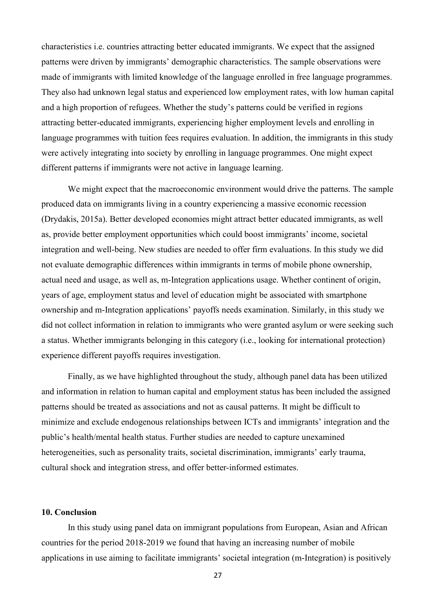characteristics i.e. countries attracting better educated immigrants. We expect that the assigned patterns were driven by immigrants' demographic characteristics. The sample observations were made of immigrants with limited knowledge of the language enrolled in free language programmes. They also had unknown legal status and experienced low employment rates, with low human capital and a high proportion of refugees. Whether the study's patterns could be verified in regions attracting better-educated immigrants, experiencing higher employment levels and enrolling in language programmes with tuition fees requires evaluation. In addition, the immigrants in this study were actively integrating into society by enrolling in language programmes. One might expect different patterns if immigrants were not active in language learning.

We might expect that the macroeconomic environment would drive the patterns. The sample produced data on immigrants living in a country experiencing a massive economic recession (Drydakis, 2015a). Better developed economies might attract better educated immigrants, as well as, provide better employment opportunities which could boost immigrants' income, societal integration and well-being. New studies are needed to offer firm evaluations. In this study we did not evaluate demographic differences within immigrants in terms of mobile phone ownership, actual need and usage, as well as, m-Integration applications usage. Whether continent of origin, years of age, employment status and level of education might be associated with smartphone ownership and m-Integration applications' payoffs needs examination. Similarly, in this study we did not collect information in relation to immigrants who were granted asylum or were seeking such a status. Whether immigrants belonging in this category (i.e., looking for international protection) experience different payoffs requires investigation.

Finally, as we have highlighted throughout the study, although panel data has been utilized and information in relation to human capital and employment status has been included the assigned patterns should be treated as associations and not as causal patterns. It might be difficult to minimize and exclude endogenous relationships between ICTs and immigrants' integration and the public's health/mental health status. Further studies are needed to capture unexamined heterogeneities, such as personality traits, societal discrimination, immigrants' early trauma, cultural shock and integration stress, and offer better-informed estimates.

#### **10. Conclusion**

In this study using panel data on immigrant populations from European, Asian and African countries for the period 2018-2019 we found that having an increasing number of mobile applications in use aiming to facilitate immigrants' societal integration (m-Integration) is positively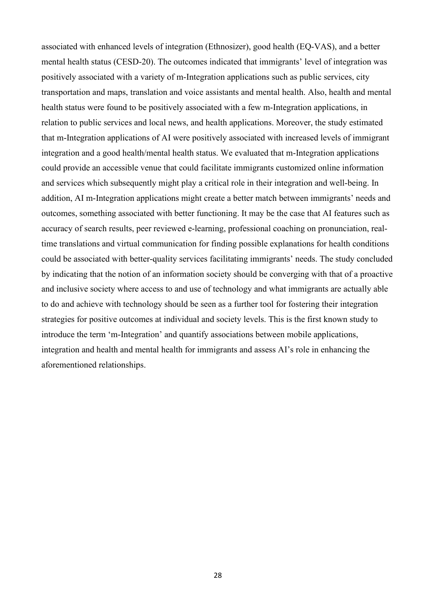associated with enhanced levels of integration (Ethnosizer), good health (EQ-VAS), and a better mental health status (CESD-20). The outcomes indicated that immigrants' level of integration was positively associated with a variety of m-Integration applications such as public services, city transportation and maps, translation and voice assistants and mental health. Also, health and mental health status were found to be positively associated with a few m-Integration applications, in relation to public services and local news, and health applications. Moreover, the study estimated that m-Integration applications of AI were positively associated with increased levels of immigrant integration and a good health/mental health status. We evaluated that m-Integration applications could provide an accessible venue that could facilitate immigrants customized online information and services which subsequently might play a critical role in their integration and well-being. In addition, AI m-Integration applications might create a better match between immigrants' needs and outcomes, something associated with better functioning. It may be the case that AI features such as accuracy of search results, peer reviewed e-learning, professional coaching on pronunciation, realtime translations and virtual communication for finding possible explanations for health conditions could be associated with better-quality services facilitating immigrants' needs. The study concluded by indicating that the notion of an information society should be converging with that of a proactive and inclusive society where access to and use of technology and what immigrants are actually able to do and achieve with technology should be seen as a further tool for fostering their integration strategies for positive outcomes at individual and society levels. This is the first known study to introduce the term 'm-Integration' and quantify associations between mobile applications, integration and health and mental health for immigrants and assess AI's role in enhancing the aforementioned relationships.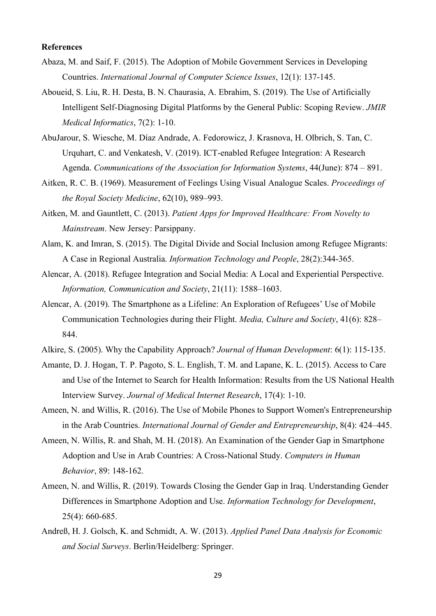#### **References**

- Abaza, M. and Saif, F. (2015). The Adoption of Mobile Government Services in Developing Countries. *International Journal of Computer Science Issues*, 12(1): 137-145.
- Aboueid, S. Liu, R. H. Desta, B. N. Chaurasia, A. Ebrahim, S. (2019). The Use of Artificially Intelligent Self-Diagnosing Digital Platforms by the General Public: Scoping Review. *JMIR Medical Informatics*, 7(2): 1-10.
- AbuJarour, S. Wiesche, M. Díaz Andrade, A. Fedorowicz, J. Krasnova, H. Olbrich, S. Tan, C. Urquhart, C. and Venkatesh, V. (2019). ICT-enabled Refugee Integration: A Research Agenda. *Communications of the Association for Information Systems*, 44(June): 874 – 891.
- Aitken, R. C. B. (1969). Measurement of Feelings Using Visual Analogue Scales. *Proceedings of the Royal Society Medicine*, 62(10), 989–993.
- Aitken, M. and Gauntlett, C. (2013). *Patient Apps for Improved Healthcare: From Novelty to Mainstream*. New Jersey: Parsippany.
- Alam, K. and Imran, S. (2015). The Digital Divide and Social Inclusion among Refugee Migrants: A Case in Regional Australia. *Information Technology and People*, 28(2):344-365.
- Alencar, A. (2018). Refugee Integration and Social Media: A Local and Experiential Perspective. *Information, Communication and Society*, 21(11): 1588–1603.
- Alencar, A. (2019). The Smartphone as a Lifeline: An Exploration of Refugees' Use of Mobile Communication Technologies during their Flight. *Media, Culture and Society*, 41(6): 828– 844.
- Alkire, S. (2005). Why the Capability Approach? *Journal of Human Development*: 6(1): 115-135.
- Amante, D. J. Hogan, T. P. Pagoto, S. L. English, T. M. and Lapane, K. L. (2015). Access to Care and Use of the Internet to Search for Health Information: Results from the US National Health Interview Survey. *Journal of Medical Internet Research*, 17(4): 1-10.
- Ameen, N. and Willis, R. (2016). The Use of Mobile Phones to Support Women's Entrepreneurship in the Arab Countries. *International Journal of Gender and Entrepreneurship*, 8(4): 424–445.
- Ameen, N. Willis, R. and Shah, M. H. (2018). An Examination of the Gender Gap in Smartphone Adoption and Use in Arab Countries: A Cross-National Study. *Computers in Human Behavior*, 89: 148-162.
- Ameen, N. and Willis, R. (2019). Towards Closing the Gender Gap in Iraq. Understanding Gender Differences in Smartphone Adoption and Use. *Information Technology for Development*, 25(4): 660-685.
- Andreß, H. J. Golsch, K. and Schmidt, A. W. (2013). *Applied Panel Data Analysis for Economic and Social Surveys*. Berlin/Heidelberg: Springer.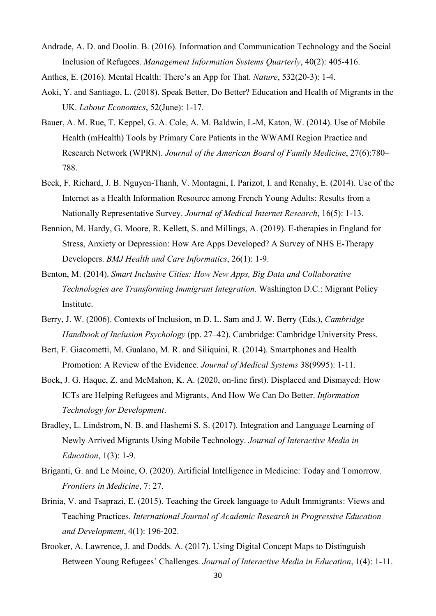Andrade, A. D. and Doolin. B. (2016). Information and Communication Technology and the Social Inclusion of Refugees. *Management Information Systems Quarterly*, 40(2): 405-416.

Anthes, E. (2016). Mental Health: There's an App for That. *Nature*, 532(20-3): 1-4.

- Aoki, Y. and Santiago, L. (2018). Speak Better, Do Better? Education and Health of Migrants in the UK. *Labour Economics*, 52(June): 1-17.
- Bauer, A. M. Rue, T. Keppel, G. A. Cole, A. M. Baldwin, L-M, Katon, W. (2014). Use of Mobile Health (mHealth) Tools by Primary Care Patients in the WWAMI Region Practice and Research Network (WPRN). *Journal of the American Board of Family Medicine*, 27(6):780– 788.
- Beck, F. Richard, J. B. Nguyen-Thanh, V. Montagni, I. Parizot, I. and Renahy, E. (2014). Use of the Internet as a Health Information Resource among French Young Adults: Results from a Nationally Representative Survey. *Journal of Medical Internet Research*, 16(5): 1-13.
- Bennion, M. Hardy, G. Moore, R. Kellett, S. and Millings, A. (2019). E-therapies in England for Stress, Anxiety or Depression: How Are Apps Developed? A Survey of NHS E-Therapy Developers. *BMJ Health and Care Informatics*, 26(1): 1-9.
- Benton, M. (2014). *Smart Inclusive Cities: How New Apps, Big Data and Collaborative Technologies are Transforming Immigrant Integration*. Washington D.C.: Migrant Policy Institute.
- Berry, J. W. (2006). Contexts of Inclusion, *un* D. L. Sam and J. W. Berry (Eds.), *Cambridge Handbook of Inclusion Psychology* (pp. 27–42). Cambridge: Cambridge University Press.
- Bert, F. Giacometti, M. Gualano, M. R. and Siliquini, R. (2014). Smartphones and Health Promotion: A Review of the Evidence. *Journal of Medical Systems* 38(9995): 1-11.
- Bock, J. G. Haque, Z. and McMahon, K. A. (2020, on-line first). Displaced and Dismayed: How ICTs are Helping Refugees and Migrants, And How We Can Do Better. *Information Technology for Development*.
- Bradley, L. Lindstrom, N. B. and Hashemi S. S. (2017). Integration and Language Learning of Newly Arrived Migrants Using Mobile Technology. *Journal of Interactive Media in Education*, 1(3): 1-9.
- Briganti, G. and Le Moine, O. (2020). Artificial Intelligence in Medicine: Today and Tomorrow. *Frontiers in Medicine*, 7: 27.
- Brinia, V. and Tsaprazi, E. (2015). Teaching the Greek language to Adult Immigrants: Views and Teaching Practices. *International Journal of Academic Research in Progressive Education and Development*, 4(1): 196-202.
- Brooker, A. Lawrence, J. and Dodds. A. (2017). Using Digital Concept Maps to Distinguish Between Young Refugees' Challenges. *Journal of Interactive Media in Education*, 1(4): 1-11.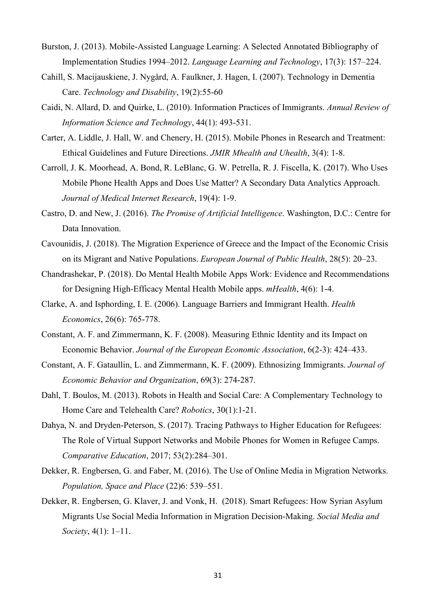- Burston, J. (2013). Mobile-Assisted Language Learning: A Selected Annotated Bibliography of Implementation Studies 1994–2012. *Language Learning and Technology*, 17(3): 157–224.
- Cahill, S. Macijauskiene, J. Nygård, A. Faulkner, J. Hagen, I. (2007). Technology in Dementia Care. *Technology and Disability*, 19(2):55-60
- Caidi, N. Allard, D. and Quirke, L. (2010). Information Practices of Immigrants. *Annual Review of Information Science and Technology*, 44(1): 493-531.
- Carter, A. Liddle, J. Hall, W. and Chenery, H. (2015). Mobile Phones in Research and Treatment: Ethical Guidelines and Future Directions. *JMIR Mhealth and Uhealth*, 3(4): 1-8.
- Carroll, J. K. Moorhead, A. Bond, R. LeBlanc, G. W. Petrella, R. J. Fiscella, K. (2017). Who Uses Mobile Phone Health Apps and Does Use Matter? A Secondary Data Analytics Approach. *Journal of Medical Internet Research*, 19(4): 1-9.
- Castro, D. and New, J. (2016). *The Promise of Artificial Intelligence*. Washington, D.C.: Centre for Data Innovation.
- Cavounidis, J. (2018). The Migration Experience of Greece and the Impact of the Economic Crisis on its Migrant and Native Populations. *European Journal of Public Health*, 28(5): 20–23.
- Chandrashekar, P. (2018). Do Mental Health Mobile Apps Work: Evidence and Recommendations for Designing High-Efficacy Mental Health Mobile apps. *mHealth*, 4(6): 1-4.
- Clarke, A. and Isphording, I. E. (2006). Language Barriers and Immigrant Health. *Health Economics*, 26(6): 765-778.
- Constant, A. F. and Zimmermann, K. F. (2008). Measuring Ethnic Identity and its Impact on Economic Behavior. *Journal of the European Economic Association*, 6(2-3): 424–433.
- Constant, A. F. Gataullin, L. and Zimmermann, K. F. (2009). Ethnosizing Immigrants. *Journal of Economic Behavior and Organization*, 69(3): 274-287.
- Dahl, T. Boulos, M. (2013). Robots in Health and Social Care: A Complementary Technology to Home Care and Telehealth Care? *Robotics*, 30(1):1-21.
- Dahya, N. and Dryden-Peterson, S. (2017). Tracing Pathways to Higher Education for Refugees: The Role of Virtual Support Networks and Mobile Phones for Women in Refugee Camps. *Comparative Education*, 2017; 53(2):284–301.
- Dekker, R. Engbersen, G. and Faber, M. (2016). The Use of Online Media in Migration Networks. *Population, Space and Place* (22)6: 539–551.
- Dekker, R. Engbersen, G. Klaver, J. and Vonk, H. (2018). Smart Refugees: How Syrian Asylum Migrants Use Social Media Information in Migration Decision-Making. *Social Media and Society*, 4(1): 1–11.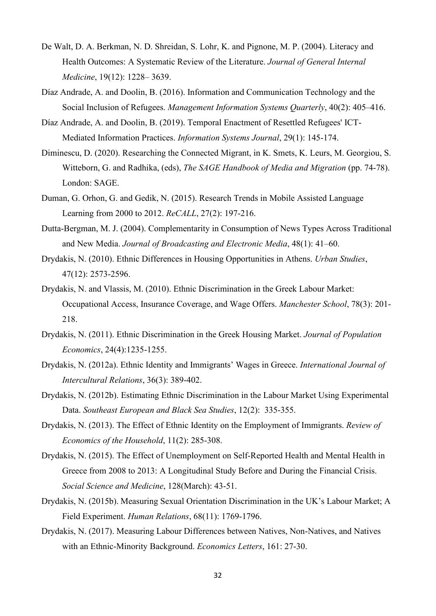- De Walt, D. A. Berkman, N. D. Shreidan, S. Lohr, K. and Pignone, M. P. (2004). Literacy and Health Outcomes: A Systematic Review of the Literature. *Journal of General Internal Medicine*, 19(12): 1228– 3639.
- Díaz Andrade, A. and Doolin, B. (2016). Information and Communication Technology and the Social Inclusion of Refugees. *Management Information Systems Quarterly*, 40(2): 405–416.
- Díaz Andrade, A. and Doolin, B. (2019). Temporal Enactment of Resettled Refugees' ICT‐ Mediated Information Practices. *Information Systems Journal*, 29(1): 145-174.
- Diminescu, D. (2020). Researching the Connected Migrant, in K. Smets, K. Leurs, M. Georgiou, S. Witteborn, G. and Radhika, (eds), *The SAGE Handbook of Media and Migration* (pp. 74-78). London: SAGE.
- Duman, G. Orhon, G. and Gedik, N. (2015). Research Trends in Mobile Assisted Language Learning from 2000 to 2012. *ReCALL*, 27(2): 197-216.
- Dutta-Bergman, M. J. (2004). Complementarity in Consumption of News Types Across Traditional and New Media. *Journal of Broadcasting and Electronic Media*, 48(1): 41–60.
- Drydakis, N. (2010). Ethnic Differences in Housing Opportunities in Athens. *Urban Studies*, 47(12): 2573-2596.
- Drydakis, N. and Vlassis, M. (2010). Ethnic Discrimination in the Greek Labour Market: Occupational Access, Insurance Coverage, and Wage Offers. *Manchester School*, 78(3): 201- 218.
- Drydakis, N. (2011). Ethnic Discrimination in the Greek Housing Market. *Journal of Population Economics*, 24(4):1235-1255.
- Drydakis, N. (2012a). Ethnic Identity and Immigrants' Wages in Greece. *International Journal of Intercultural Relations*, 36(3): 389-402.
- Drydakis, N. (2012b). Estimating Ethnic Discrimination in the Labour Market Using Experimental Data. *Southeast European and Black Sea Studies*, 12(2): 335-355.
- Drydakis, N. (2013). The Effect of Ethnic Identity on the Employment of Immigrants. *Review of Economics of the Household*, 11(2): 285-308.
- Drydakis, N. (2015). The Effect of Unemployment on Self-Reported Health and Mental Health in Greece from 2008 to 2013: A Longitudinal Study Before and During the Financial Crisis. *Social Science and Medicine*, 128(March): 43-51.
- Drydakis, N. (2015b). Measuring Sexual Orientation Discrimination in the UK's Labour Market; A Field Experiment. *Human Relations*, 68(11): 1769-1796.
- Drydakis, N. (2017). Measuring Labour Differences between Natives, Non-Natives, and Natives with an Ethnic-Minority Background. *Economics Letters*, 161: 27-30.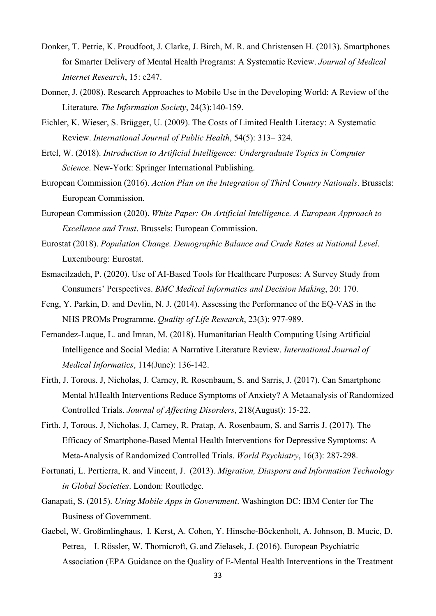- Donker, T. Petrie, K. Proudfoot, J. Clarke, J. Birch, M. R. and Christensen H. (2013). Smartphones for Smarter Delivery of Mental Health Programs: A Systematic Review. *Journal of Medical Internet Research*, 15: e247.
- Donner, J. (2008). Research Approaches to Mobile Use in the Developing World: A Review of the Literature. *The Information Society*, 24(3):140-159.
- Eichler, K. Wieser, S. Brügger, U. (2009). The Costs of Limited Health Literacy: A Systematic Review. *International Journal of Public Health*, 54(5): 313– 324.
- Ertel, W. (2018). *Introduction to Artificial Intelligence: Undergraduate Topics in Computer Science*. New-York: Springer International Publishing.
- European Commission (2016). *Action Plan on the Integration of Third Country Nationals*. Brussels: European Commission.
- European Commission (2020). *White Paper: On Artificial Intelligence. A European Approach to Excellence and Trust*. Brussels: European Commission.
- Eurostat (2018). *Population Change. Demographic Balance and Crude Rates at National Level*. Luxembourg: Eurostat.
- Esmaeilzadeh, P. (2020). Use of AI-Based Tools for Healthcare Purposes: A Survey Study from Consumers' Perspectives. *BMC Medical Informatics and Decision Making*, 20: 170.
- Feng, Y. Parkin, D. and Devlin, N. J. (2014). Assessing the Performance of the EQ-VAS in the NHS PROMs Programme. *Quality of Life Research*, 23(3): 977-989.
- Fernandez-Luque, L. and Imran, M. (2018). Humanitarian Health Computing Using Artificial Intelligence and Social Media: A Narrative Literature Review. *International Journal of Medical Informatics*, 114(June): 136-142.
- Firth, J. Torous. J, Nicholas, J. Carney, R. Rosenbaum, S. and Sarris, J. (2017). Can Smartphone Mental h\Health Interventions Reduce Symptoms of Anxiety? A Metaanalysis of Randomized Controlled Trials. *Journal of Affecting Disorders*, 218(August): 15-22.
- Firth. J, Torous. J, Nicholas. J, Carney, R. Pratap, A. Rosenbaum, S. and Sarris J. (2017). The Efficacy of Smartphone-Based Mental Health Interventions for Depressive Symptoms: A Meta-Analysis of Randomized Controlled Trials. *World Psychiatry*, 16(3): 287-298.
- Fortunati, L. Pertierra, R. and Vincent, J. (2013). *Migration, Diaspora and Information Technology in Global Societies*. London: Routledge.
- Ganapati, S. (2015). *Using Mobile Apps in Government*. Washington DC: IBM Center for The Business of Government.
- Gaebel, W. Großimlinghaus, I. Kerst, A. Cohen, Y. Hinsche-Böckenholt, A. Johnson, B. Mucic, D. Petrea, I. Rössler, W. Thornicroft, G. and Zielasek, J. (2016). European Psychiatric Association (EPA Guidance on the Quality of E-Mental Health Interventions in the Treatment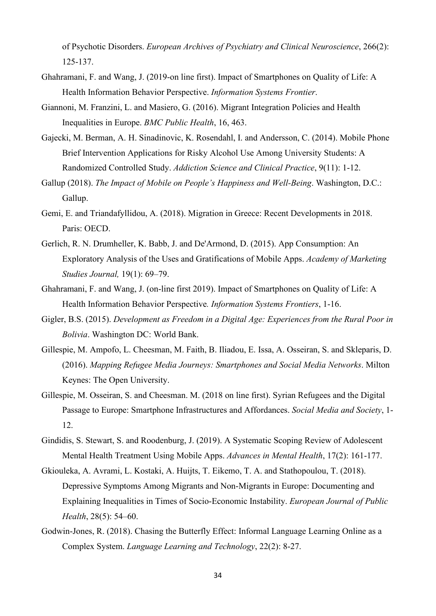of Psychotic Disorders. *European Archives of Psychiatry and Clinical Neuroscience*, 266(2): 125-137.

- Ghahramani, F. and Wang, J. (2019-on line first). Impact of Smartphones on Quality of Life: A Health Information Behavior Perspective. *Information Systems Frontier*.
- Giannoni, M. Franzini, L. and Masiero, G. (2016). Migrant Integration Policies and Health Inequalities in Europe. *BMC Public Health*, 16, 463.
- Gajecki, M. Berman, A. H. Sinadinovic, K. Rosendahl, I. and Andersson, C. (2014). Mobile Phone Brief Intervention Applications for Risky Alcohol Use Among University Students: A Randomized Controlled Study. *Addiction Science and Clinical Practice*, 9(11): 1-12.
- Gallup (2018). *The Impact of Mobile on People's Happiness and Well-Being*. Washington, D.C.: Gallup.
- Gemi, Ε. and Triandafyllidou, A. (2018). Migration in Greece: Recent Developments in 2018. Paris: OECD.
- Gerlich, R. N. Drumheller, K. Babb, J. and De'Armond, D. (2015). App Consumption: An Exploratory Analysis of the Uses and Gratifications of Mobile Apps. *Academy of Marketing Studies Journal,* 19(1): 69–79.
- Ghahramani, F. and Wang, J. (on-line first 2019). Impact of Smartphones on Quality of Life: A Health Information Behavior Perspective*. Information Systems Frontiers*, 1-16.
- Gigler, B.S. (2015). *Development as Freedom in a Digital Age: Experiences from the Rural Poor in Bolivia*. Washington DC: World Bank.
- Gillespie, M. Ampofo, L. Cheesman, M. Faith, B. Iliadou, E. Issa, A. Osseiran, S. and Skleparis, D. (2016). *Mapping Refugee Media Journeys: Smartphones and Social Media Networks*. Milton Keynes: The Open University.
- Gillespie, M. Osseiran, S. and Cheesman. M. (2018 on line first). Syrian Refugees and the Digital Passage to Europe: Smartphone Infrastructures and Affordances. *Social Media and Society*, 1- 12.
- Gindidis, S. Stewart, S. and Roodenburg, J. (2019). A Systematic Scoping Review of Adolescent Mental Health Treatment Using Mobile Apps. *Advances in Mental Health*, 17(2): 161-177.
- Gkiouleka, A. Avrami, L. Kostaki, A. Huijts, T. Eikemo, T. A. and Stathopoulou, T. (2018). Depressive Symptoms Among Migrants and Non-Migrants in Europe: Documenting and Explaining Inequalities in Times of Socio-Economic Instability. *European Journal of Public Health*, 28(5): 54–60.
- Godwin-Jones, R. (2018). Chasing the Butterfly Effect: Informal Language Learning Online as a Complex System. *Language Learning and Technology*, 22(2): 8-27.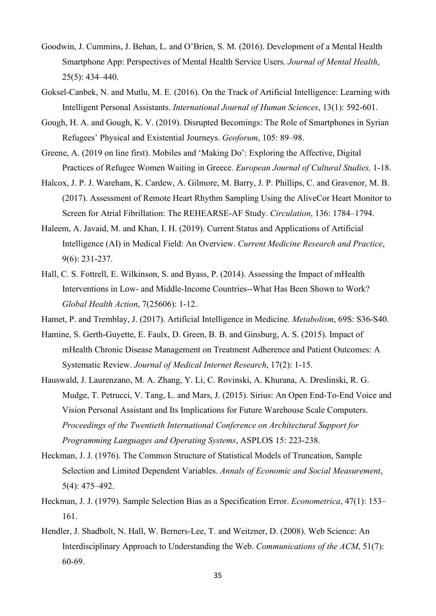- Goodwin, J. Cummins, J. Behan, L. and O'Brien, S. M. (2016). Development of a Mental Health Smartphone App: Perspectives of Mental Health Service Users. *Journal of Mental Health*, 25(5): 434–440.
- Goksel-Canbek, N. and Mutlu, M. E. (2016). On the Track of Artificial Intelligence: Learning with Intelligent Personal Assistants. *International Journal of Human Sciences*, 13(1): 592-601.
- Gough, H. A. and Gough, K. V. (2019). Disrupted Becomings: The Role of Smartphones in Syrian Refugees' Physical and Existential Journeys. *Geoforum*, 105: 89–98.
- Greene, A. (2019 on line first). Mobiles and 'Making Do': Exploring the Affective, Digital Practices of Refugee Women Waiting in Greece. *European Journal of Cultural Studies,* 1-18.
- Halcox, J. P. J. Wareham, K. Cardew, A. Gilmore, M. Barry, J. P. Phillips, C. and Gravenor, M. B. (2017). Assessment of Remote Heart Rhythm Sampling Using the AliveCor Heart Monitor to Screen for Atrial Fibrillation: The REHEARSE-AF Study. *Circulation*, 136: 1784–1794.
- Haleem, A. Javaid, M. and Khan, I. H. (2019). Current Status and Applications of Artificial Intelligence (AI) in Medical Field: An Overview. *Current Medicine Research and Practice*, 9(6): 231-237.
- Hall, C. S. Fottrell, E. Wilkinson, S. and Byass, P. (2014). Assessing the Impact of mHealth Interventions in Low- and Middle-Income Countries--What Has Been Shown to Work? *Global Health Action*, 7(25606): 1-12.
- Hamet, P. and Tremblay, J. (2017). Artificial Intelligence in Medicine. *Metabolism*, 69S: S36-S40.
- Hamine, S. Gerth-Guyette, E. Faulx, D. Green, B. B. and Ginsburg, A. S. (2015). Impact of mHealth Chronic Disease Management on Treatment Adherence and Patient Outcomes: A Systematic Review. *Journal of Medical Internet Research*, 17(2): 1-15.
- Hauswald, J. Laurenzano, M. A. Zhang, Y. Li, C. Rovinski, A. Khurana, A. Dreslinski, R. G. Mudge, T. Petrucci, V. Tang, L. and Mars, J. (2015). Sirius: An Open End-To-End Voice and Vision Personal Assistant and Its Implications for Future Warehouse Scale Computers. *Proceedings of the Twentieth International Conference on Architectural Support for Programming Languages and Operating Systems*, ASPLOS 15: 223-238.
- Heckman, J. J. (1976). The Common Structure of Statistical Models of Truncation, Sample Selection and Limited Dependent Variables. *Annals of Economic and Social Measurement*, 5(4): 475–492.
- Heckman, J. J. (1979). Sample Selection Bias as a Specification Error. *Econometrica*, 47(1): 153– 161.
- Hendler, J. Shadbolt, N. Hall, W. Berners-Lee, T. and Weitzner, D. (2008). Web Science: An Interdisciplinary Approach to Understanding the Web. *Communications of the ACM*, 51(7): 60-69.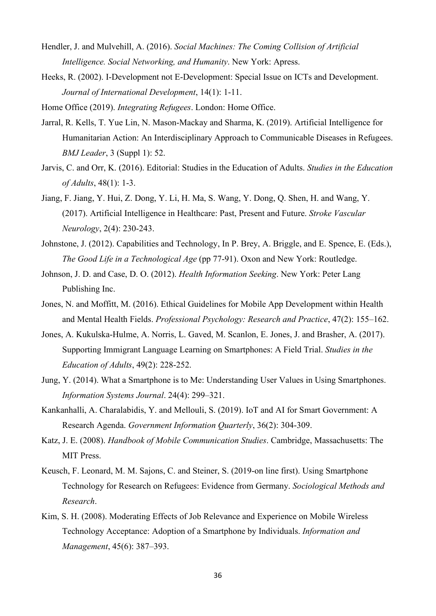- Hendler, J. and Mulvehill, A. (2016). *Social Machines: The Coming Collision of Artificial Intelligence. Social Networking, and Humanity*. New York: Apress.
- Heeks, R. (2002). I-Development not E-Development: Special Issue on ICTs and Development. *Journal of International Development*, 14(1): 1-11.
- Home Office (2019). *Integrating Refugees*. London: Home Office.
- Jarral, R. Kells, T. Yue Lin, N. Mason-Mackay and Sharma, K. (2019). Artificial Intelligence for Humanitarian Action: An Interdisciplinary Approach to Communicable Diseases in Refugees. *BMJ Leader*, 3 (Suppl 1): 52.
- Jarvis, C. and Orr, K. (2016). Editorial: Studies in the Education of Adults. *Studies in the Education of Adults*, 48(1): 1-3.
- Jiang, F. Jiang, Y. Hui, Z. Dong, Y. Li, H. Ma, S. Wang, Y. Dong, Q. Shen, H. and Wang, Y. (2017). Artificial Intelligence in Healthcare: Past, Present and Future. *Stroke Vascular Neurology*, 2(4): 230-243.
- Johnstone, J. (2012). Capabilities and Technology, In P. Brey, A. Briggle, and E. Spence, E. (Eds.), *The Good Life in a Technological Age* (pp 77-91). Oxon and New York: Routledge.
- Johnson, J. D. and Case, D. O. (2012). *Health Information Seeking*. New York: Peter Lang Publishing Inc.
- Jones, N. and Moffitt, M. (2016). Ethical Guidelines for Mobile App Development within Health and Mental Health Fields. *Professional Psychology: Research and Practice*, 47(2): 155–162.
- Jones, A. Kukulska-Hulme, A. Norris, L. Gaved, M. Scanlon, E. Jones, J. and Brasher, A. (2017). Supporting Immigrant Language Learning on Smartphones: A Field Trial. *Studies in the Education of Adults*, 49(2): 228-252.
- Jung, Y. (2014). What a Smartphone is to Me: Understanding User Values in Using Smartphones. *Information Systems Journal*. 24(4): 299–321.
- Kankanhalli, A. Charalabidis, Y. and Mellouli, S. (2019). IoT and AI for Smart Government: A Research Agenda. *Government Information Quarterly*, 36(2): 304-309.
- Katz, J. E. (2008). *Handbook of Mobile Communication Studies*. Cambridge, Massachusetts: The MIT Press.
- Keusch, F. Leonard, M. M. Sajons, C. and Steiner, S. (2019-on line first). Using Smartphone Technology for Research on Refugees: Evidence from Germany. *Sociological Methods and Research*.
- Kim, S. H. (2008). Moderating Effects of Job Relevance and Experience on Mobile Wireless Technology Acceptance: Adoption of a Smartphone by Individuals. *Information and Management*, 45(6): 387–393.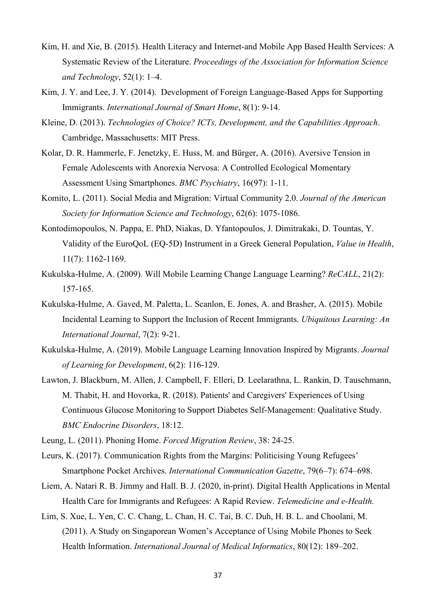- Kim, H. and Xie, B. (2015). Health Literacy and Internet-and Mobile App Based Health Services: A Systematic Review of the Literature. *Proceedings of the Association for Information Science and Technology*, 52(1): 1–4.
- Kim, J. Y. and Lee, J. Y. (2014). Development of Foreign Language-Based Apps for Supporting Immigrants. *International Journal of Smart Home*, 8(1): 9-14.
- Kleine, D. (2013). *Technologies of Choice? ICTs, Development, and the Capabilities Approach*. Cambridge, Massachusetts: MIT Press.
- Kolar, D. R. Hammerle, F. Jenetzky, E. Huss, M. and Bürger, A. (2016). Aversive Tension in Female Adolescents with Anorexia Nervosa: A Controlled Ecological Momentary Assessment Using Smartphones. *BMC Psychiatry*, 16(97): 1-11.
- Komito, L. (2011). Social Media and Migration: Virtual Community 2.0. *Journal of the American Society for Information Science and Technology*, 62(6): 1075-1086.
- Kontodimopoulos, N. Pappa, E. PhD, Niakas, D. Yfantopoulos, J. Dimitrakaki, D. Tountas, Y. Validity of the EuroQoL (EQ-5D) Instrument in a Greek General Population, *Value in Health*, 11(7): 1162-1169.
- Kukulska-Hulme, A. (2009). Will Mobile Learning Change Language Learning? *ReCALL*, 21(2): 157-165.
- Kukulska-Hulme, A. Gaved, M. Paletta, L. Scanlon, E. Jones, A. and Brasher, A. (2015). Mobile Incidental Learning to Support the Inclusion of Recent Immigrants. *Ubiquitous Learning: An International Journal*, 7(2): 9-21.
- Kukulska-Hulme, A. (2019). Mobile Language Learning Innovation Inspired by Migrants. *Journal of Learning for Development*, 6(2): 116-129.
- Lawton, J. Blackburn, M. Allen, J. Campbell, F. Elleri, D. Leelarathna, L. Rankin, D. Tauschmann, M. Thabit, H. and Hovorka, R. (2018). Patients' and Caregivers' Experiences of Using Continuous Glucose Monitoring to Support Diabetes Self-Management: Qualitative Study. *BMC Endocrine Disorders*, 18:12.
- Leung, L. (2011). Phoning Home. *Forced Migration Review*, 38: 24-25.
- Leurs, K. (2017). Communication Rights from the Margins: Politicising Young Refugees' Smartphone Pocket Archives. *International Communication Gazette*, 79(6–7): 674–698.
- Liem, A. Natari R. B. Jimmy and Hall. B. J. (2020, in-print). Digital Health Applications in Mental Health Care for Immigrants and Refugees: A Rapid Review. *Telemedicine and e-Health.*
- Lim, S. Xue, L. Yen, C. C. Chang, L. Chan, H. C. Tai, B. C. Duh, H. B. L. and Choolani, M. (2011). A Study on Singaporean Women's Acceptance of Using Mobile Phones to Seek Health Information. *International Journal of Medical Informatics*, 80(12): 189–202.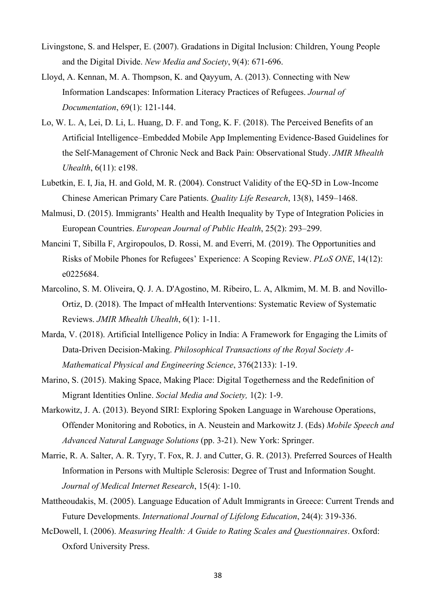- Livingstone, S. and Helsper, E. (2007). Gradations in Digital Inclusion: Children, Young People and the Digital Divide. *New Media and Society*, 9(4): 671-696.
- Lloyd, A. Kennan, M. A. Thompson, K. and Qayyum, A. (2013). Connecting with New Information Landscapes: Information Literacy Practices of Refugees. *Journal of Documentation*, 69(1): 121-144.
- Lo, W. L. A, Lei, D. Li, L. Huang, D. F. and Tong, K. F. (2018). The Perceived Benefits of an Artificial Intelligence–Embedded Mobile App Implementing Evidence-Based Guidelines for the Self-Management of Chronic Neck and Back Pain: Observational Study. *JMIR Mhealth Uhealth*, 6(11): e198.
- Lubetkin, E. I, Jia, H. and Gold, M. R. (2004). Construct Validity of the EQ-5D in Low-Income Chinese American Primary Care Patients. *Quality Life Research*, 13(8), 1459–1468.
- Malmusi, D. (2015). Immigrants' Health and Health Inequality by Type of Integration Policies in European Countries. *European Journal of Public Health*, 25(2): 293–299.
- Mancini T, Sibilla F, Argiropoulos, D. Rossi, M. and Everri, M. (2019). The Opportunities and Risks of Mobile Phones for Refugees' Experience: A Scoping Review. *PLoS ONE*, 14(12): e0225684.
- Marcolino, S. M. Oliveira, Q. J. A. D'Agostino, M. Ribeiro, L. A, Alkmim, M. M. B. and Novillo-Ortiz, D. (2018). The Impact of mHealth Interventions: Systematic Review of Systematic Reviews. *JMIR Mhealth Uhealth*, 6(1): 1-11.
- Marda, V. (2018). Artificial Intelligence Policy in India: A Framework for Engaging the Limits of Data-Driven Decision-Making. *Philosophical Transactions of the Royal Society A-Mathematical Physical and Engineering Science*, 376(2133): 1-19.
- Marino, S. (2015). Making Space, Making Place: Digital Togetherness and the Redefinition of Migrant Identities Online. *Social Media and Society,* 1(2): 1-9.
- Markowitz, J. A. (2013). Beyond SIRI: Exploring Spoken Language in Warehouse Operations, Offender Monitoring and Robotics, in A. Neustein and Markowitz J. (Eds) *Mobile Speech and Advanced Natural Language Solutions* (pp. 3-21). New York: Springer.
- Marrie, R. A. Salter, A. R. Tyry, T. Fox, R. J. and Cutter, G. R. (2013). Preferred Sources of Health Information in Persons with Multiple Sclerosis: Degree of Trust and Information Sought. *Journal of Medical Internet Research*, 15(4): 1-10.
- Mattheoudakis, M. (2005). Language Education of Adult Immigrants in Greece: Current Trends and Future Developments. *International Journal of Lifelong Education*, 24(4): 319-336.
- McDowell, I. (2006). *Measuring Health: A Guide to Rating Scales and Questionnaires*. Oxford: Oxford University Press.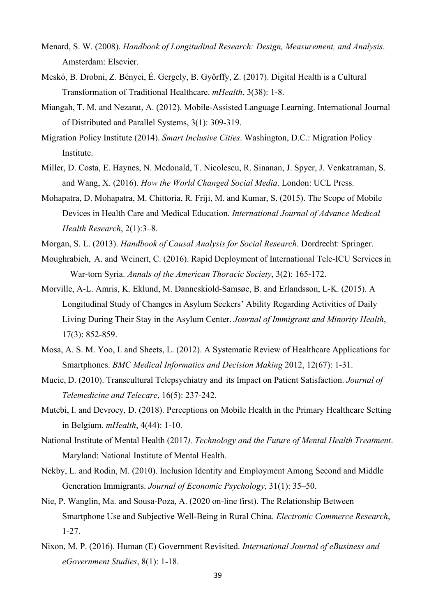- Menard, S. W. (2008). *Handbook of Longitudinal Research: Design, Measurement, and Analysis*. Amsterdam: Elsevier.
- Meskó, B. Drobni, Z. Bényei, É. Gergely, B. Győrffy, Z. (2017). Digital Health is a Cultural Transformation of Traditional Healthcare. *mHealth*, 3(38): 1-8.
- Miangah, T. M. and Nezarat, A. (2012). Mobile-Assisted Language Learning. International Journal of Distributed and Parallel Systems, 3(1): 309-319.
- Migration Policy Institute (2014). *Smart Inclusive Cities*. Washington, D.C.: Migration Policy Institute.
- Miller, D. Costa, E. Haynes, N. Mcdonald, T. Nicolescu, R. Sinanan, J. Spyer, J. Venkatraman, S. and Wang, X. (2016). *How the World Changed Social Media*. London: UCL Press.
- Mohapatra, D. Mohapatra, M. Chittoria, R. Friji, M. and Kumar, S. (2015). The Scope of Mobile Devices in Health Care and Medical Education. *International Journal of Advance Medical Health Research*, 2(1):3–8.
- Morgan, S. L. (2013). *Handbook of Causal Analysis for Social Research*. Dordrecht: Springer.
- Moughrabieh, A. and Weinert, C. (2016). Rapid Deployment of International Tele-ICU Services in War-torn Syria. *Annals of the American Thoracic Society*, 3(2): 165-172.
- Morville, A-L. Amris, K. Eklund, M. Danneskiold-Samsøe, B. and Erlandsson, L-K. (2015). A Longitudinal Study of Changes in Asylum Seekers' Ability Regarding Activities of Daily Living During Their Stay in the Asylum Center. *Journal of Immigrant and Minority Health*, 17(3): 852-859.
- Mosa, A. S. M. Yoo, I. and Sheets, L. (2012). A Systematic Review of Healthcare Applications for Smartphones. *BMC Medical Informatics and Decision Making* 2012, 12(67): 1-31.
- Mucic, D. (2010). Transcultural Telepsychiatry and its Impact on Patient Satisfaction. *Journal of Telemedicine and Telecare*, 16(5): 237-242.
- Mutebi, I. and Devroey, D. (2018). Perceptions on Mobile Health in the Primary Healthcare Setting in Belgium. *mHealth*, 4(44): 1-10.
- National Institute of Mental Health (2017*). Technology and the Future of Mental Health Treatment*. Maryland: National Institute of Mental Health.
- Nekby, L. and Rodin, M. (2010). Inclusion Identity and Employment Among Second and Middle Generation Immigrants. *Journal of Economic Psychology*, 31(1): 35–50.
- Nie, P. Wanglin, Ma. and Sousa‑Poza, A. (2020 on-line first). The Relationship Between Smartphone Use and Subjective Well‑Being in Rural China. *Electronic Commerce Research*, 1-27.
- Nixon, M. P. (2016). Human (E) Government Revisited. *International Journal of eBusiness and eGovernment Studies*, 8(1): 1-18.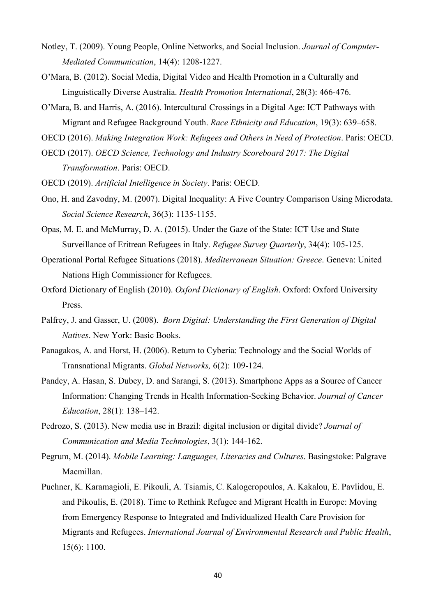- Notley, T. (2009). Young People, Online Networks, and Social Inclusion. *Journal of Computer-Mediated Communication*, 14(4): 1208-1227.
- O'Mara, B. (2012). Social Media, Digital Video and Health Promotion in a Culturally and Linguistically Diverse Australia. *Health Promotion International*, 28(3): 466-476.
- O'Mara, B. and Harris, A. (2016). Intercultural Crossings in a Digital Age: ICT Pathways with Migrant and Refugee Background Youth. *Race Ethnicity and Education*, 19(3): 639–658.

OECD (2016). *Making Integration Work: Refugees and Others in Need of Protection*. Paris: OECD.

- OECD (2017). *OECD Science, Technology and Industry Scoreboard 2017: The Digital Transformation*. Paris: OECD.
- OECD (2019). *Artificial Intelligence in Society*. Paris: OECD.
- Ono, H. and Zavodny, M. (2007). Digital Inequality: A Five Country Comparison Using Microdata. *Social Science Research*, 36(3): 1135-1155.
- Opas, M. E. and McMurray, D. A. (2015). Under the Gaze of the State: ICT Use and State Surveillance of Eritrean Refugees in Italy. *Refugee Survey Quarterly*, 34(4): 105-125.
- Operational Portal Refugee Situations (2018). *Mediterranean Situation: Greece*. Geneva: United Nations High Commissioner for Refugees.
- Oxford Dictionary of English (2010). *Oxford Dictionary of English*. Oxford: Oxford University Press.
- Palfrey, J. and Gasser, U. (2008). *Born Digital: Understanding the First Generation of Digital Natives*. New York: Basic Books.
- Panagakos, A. and Horst, H. (2006). Return to Cyberia: Technology and the Social Worlds of Transnational Migrants. *Global Networks,* 6(2): 109-124.
- Pandey, A. Hasan, S. Dubey, D. and Sarangi, S. (2013). Smartphone Apps as a Source of Cancer Information: Changing Trends in Health Information-Seeking Behavior. *Journal of Cancer Education*, 28(1): 138–142.
- Pedrozo, S. (2013). New media use in Brazil: digital inclusion or digital divide? *Journal of Communication and Media Technologies*, 3(1): 144-162.
- Pegrum, M. (2014). *Mobile Learning: Languages, Literacies and Cultures*. Basingstoke: Palgrave Macmillan.
- Puchner, K. Karamagioli, E. Pikouli, A. Tsiamis, C. Kalogeropoulos, A. Kakalou, E. Pavlidou, E. and Pikoulis, E. (2018). Time to Rethink Refugee and Migrant Health in Europe: Moving from Emergency Response to Integrated and Individualized Health Care Provision for Migrants and Refugees. *International Journal of Environmental Research and Public Health*, 15(6): 1100.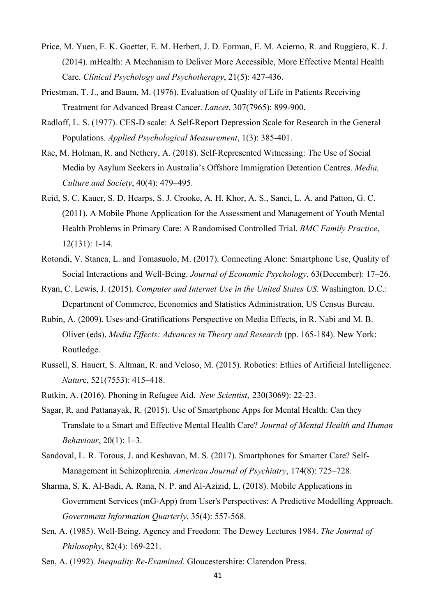- Price, M. Yuen, E. K. Goetter, E. M. Herbert, J. D. Forman, E. M. Acierno, R. and Ruggiero, K. J. (2014). mHealth: A Mechanism to Deliver More Accessible, More Effective Mental Health Care. *Clinical Psychology and Psychotherapy*, 21(5): 427-436.
- Priestman, T. J., and Baum, M. (1976). Evaluation of Quality of Life in Patients Receiving Treatment for Advanced Breast Cancer. *Lancet*, 307(7965): 899-900.
- Radloff, L. S. (1977). CES-D scale: A Self-Report Depression Scale for Research in the General Populations. *Applied Psychological Measurement*, 1(3): 385-401.
- Rae, M. Holman, R. and Nethery, A. (2018). Self-Represented Witnessing: The Use of Social Media by Asylum Seekers in Australia's Offshore Immigration Detention Centres. *Media, Culture and Society*, 40(4): 479–495.
- Reid, S. C. Kauer, S. D. Hearps, S. J. Crooke, A. H. Khor, A. S., Sanci, L. A. and Patton, G. C. (2011). A Mobile Phone Application for the Assessment and Management of Youth Mental Health Problems in Primary Care: A Randomised Controlled Trial. *BMC Family Practice*, 12(131): 1-14.
- Rotondi, V. Stanca, L. and Tomasuolo, M. (2017). Connecting Alone: Smartphone Use, Quality of Social Interactions and Well-Being. *Journal of Economic Psychology*, 63(December): 17–26.
- Ryan, C. Lewis, J. (2015). *Computer and Internet Use in the United States US*. Washington. D.C.: Department of Commerce, Economics and Statistics Administration, US Census Bureau.
- Rubin, A. (2009). Uses-and-Gratifications Perspective on Media Effects, in R. Nabi and M. B. Oliver (eds), *Media Effects: Advances in Theory and Research* (pp. 165-184). New York: Routledge.
- Russell, S. Hauert, S. Altman, R. and Veloso, M. (2015). Robotics: Ethics of Artificial Intelligence. *Natur*e, 521(7553): 415–418.
- Rutkin, A. (2016). Phoning in Refugee Aid. *New Scientist*, 230(3069): 22-23.
- Sagar, R. and Pattanayak, R. (2015). Use of Smartphone Apps for Mental Health: Can they Translate to a Smart and Effective Mental Health Care? *Journal of Mental Health and Human Behaviour*, 20(1): 1–3.
- Sandoval, L. R. Torous, J. and Keshavan, M. S. (2017). Smartphones for Smarter Care? Self-Management in Schizophrenia. *American Journal of Psychiatry*, 174(8): 725–728.
- Sharma, S. K. Al-Badi, A. Rana, N. P. and Al-Azizid, L. (2018). Mobile Applications in Government Services (mG-App) from User's Perspectives: A Predictive Modelling Approach. *Government Information Quarterly*, 35(4): 557-568.
- Sen, A. (1985). Well-Being, Agency and Freedom: The Dewey Lectures 1984. *The Journal of Philosophy*, 82(4): 169-221.
- Sen, A. (1992). *Inequality Re-Examined*. Gloucestershire: Clarendon Press.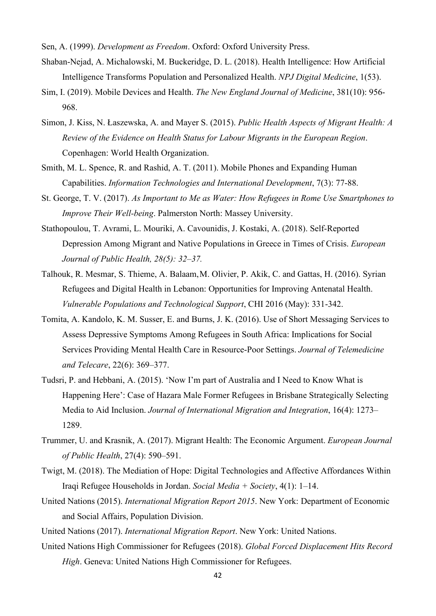Sen, A. (1999). *Development as Freedom*. Oxford: Oxford University Press.

- Shaban-Nejad, A. Michalowski, M. Buckeridge, D. L. (2018). Health Intelligence: How Artificial Intelligence Transforms Population and Personalized Health. *NPJ Digital Medicine*, 1(53).
- Sim, I. (2019). Mobile Devices and Health. *The New England Journal of Medicine*, 381(10): 956- 968.
- Simon, J. Kiss, N. Łaszewska, A. and Mayer S. (2015). *Public Health Aspects of Migrant Health: A Review of the Evidence on Health Status for Labour Migrants in the European Region*. Copenhagen: World Health Organization.
- Smith, M. L. Spence, R. and Rashid, A. T. (2011). Mobile Phones and Expanding Human Capabilities. *Information Technologies and International Development*, 7(3): 77-88.
- St. George, T. V. (2017). *As Important to Me as Water: How Refugees in Rome Use Smartphones to Improve Their Well-being*. Palmerston North: Massey University.
- Stathopoulou, T. Avrami, L. Mouriki, A. Cavounidis, J. Kostaki, A. (2018). Self-Reported Depression Among Migrant and Native Populations in Greece in Times of Crisis. *European Journal of Public Health, 28(5): 32–37.*
- Talhouk, R. Mesmar, S. Thieme, A. Balaam,M. Olivier, P. Akik, C. and Gattas, H. (2016). Syrian Refugees and Digital Health in Lebanon: Opportunities for Improving Antenatal Health. *Vulnerable Populations and Technological Support*, CHI 2016 (May): 331-342.
- Tomita, A. Kandolo, K. M. Susser, E. and Burns, J. K. (2016). Use of Short Messaging Services to Assess Depressive Symptoms Among Refugees in South Africa: Implications for Social Services Providing Mental Health Care in Resource-Poor Settings. *Journal of Telemedicine and Telecare*, 22(6): 369–377.
- Tudsri, P. and Hebbani, A. (2015). 'Now I'm part of Australia and I Need to Know What is Happening Here': Case of Hazara Male Former Refugees in Brisbane Strategically Selecting Media to Aid Inclusion. *Journal of International Migration and Integration*, 16(4): 1273– 1289.
- Trummer, U. and Krasnik, A. (2017). Migrant Health: The Economic Argument. *European Journal of Public Health*, 27(4): 590–591.
- Twigt, M. (2018). The Mediation of Hope: Digital Technologies and Affective Affordances Within Iraqi Refugee Households in Jordan. *Social Media + Society*, 4(1): 1–14.
- United Nations (2015). *International Migration Report 2015*. New York: Department of Economic and Social Affairs, Population Division.
- United Nations (2017). *International Migration Report*. New York: United Nations.
- United Nations High Commissioner for Refugees (2018). *Global Forced Displacement Hits Record High*. Geneva: United Nations High Commissioner for Refugees.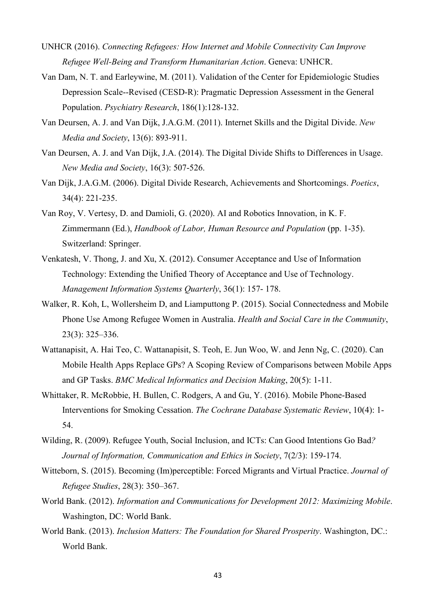- UNHCR (2016). *Connecting Refugees: How Internet and Mobile Connectivity Can Improve Refugee Well-Being and Transform Humanitarian Action*. Geneva: UNHCR.
- Van Dam, N. T. and Earleywine, M. (2011). Validation of the Center for Epidemiologic Studies Depression Scale--Revised (CESD-R): Pragmatic Depression Assessment in the General Population. *Psychiatry Research*, 186(1):128-132.
- Van Deursen, A. J. and Van Dijk, J.A.G.M. (2011). Internet Skills and the Digital Divide. *New Media and Society*, 13(6): 893-911.
- Van Deursen, A. J. and Van Dijk, J.A. (2014). The Digital Divide Shifts to Differences in Usage. *New Media and Society*, 16(3): 507-526.
- Van Dijk, J.A.G.M. (2006). Digital Divide Research, Achievements and Shortcomings. *Poetics*, 34(4): 221-235.
- Van Roy, V. Vertesy, D. and Damioli, G. (2020). AI and Robotics Innovation, in K. F. Zimmermann (Ed.), *Handbook of Labor, Human Resource and Population* (pp. 1-35). Switzerland: Springer.
- Venkatesh, V. Thong, J. and Xu, X. (2012). Consumer Acceptance and Use of Information Technology: Extending the Unified Theory of Acceptance and Use of Technology. *Management Information Systems Quarterly*, 36(1): 157- 178.
- Walker, R. Koh, L, Wollersheim D, and Liamputtong P. (2015). Social Connectedness and Mobile Phone Use Among Refugee Women in Australia. *Health and Social Care in the Community*, 23(3): 325–336.
- Wattanapisit, A. Hai Teo, C. Wattanapisit, S. Teoh, E. Jun Woo, W. and Jenn Ng, C. (2020). Can Mobile Health Apps Replace GPs? A Scoping Review of Comparisons between Mobile Apps and GP Tasks. *BMC Medical Informatics and Decision Making*, 20(5): 1-11.
- Whittaker, R. McRobbie, H. Bullen, C. Rodgers, A and Gu, Y. (2016). Mobile Phone-Based Interventions for Smoking Cessation. *The Cochrane Database Systematic Review*, 10(4): 1- 54.
- Wilding, R. (2009). Refugee Youth, Social Inclusion, and ICTs: Can Good Intentions Go Bad*? Journal of Information, Communication and Ethics in Society*, 7(2/3): 159-174.
- Witteborn, S. (2015). Becoming (Im)perceptible: Forced Migrants and Virtual Practice. *Journal of Refugee Studies*, 28(3): 350–367.
- World Bank. (2012). *Information and Communications for Development 2012: Maximizing Mobile*. Washington, DC: World Bank.
- World Bank. (2013). *Inclusion Matters: The Foundation for Shared Prosperity*. Washington, DC.: World Bank.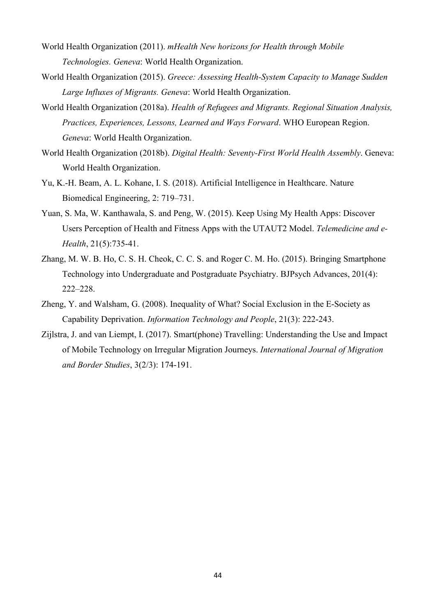- World Health Organization (2011). *mHealth New horizons for Health through Mobile Technologies. Geneva*: World Health Organization.
- World Health Organization (2015). *Greece: Assessing Health-System Capacity to Manage Sudden Large Influxes of Migrants. Geneva*: World Health Organization.
- World Health Organization (2018a). *Health of Refugees and Migrants. Regional Situation Analysis, Practices, Experiences, Lessons, Learned and Ways Forward*. WHO European Region. *Geneva*: World Health Organization.
- World Health Organization (2018b). *Digital Health: Seventy-First World Health Assembly*. Geneva: World Health Organization.
- Yu, K.-H. Beam, A. L. Kohane, I. S. (2018). Artificial Intelligence in Healthcare. Nature Biomedical Engineering, 2: 719–731.
- Yuan, S. Ma, W. Kanthawala, S. and Peng, W. (2015). Keep Using My Health Apps: Discover Users Perception of Health and Fitness Apps with the UTAUT2 Model. *Telemedicine and e-Health*, 21(5):735-41.
- Zhang, M. W. B. Ho, C. S. H. Cheok, C. C. S. and Roger C. M. Ho. (2015). Bringing Smartphone Technology into Undergraduate and Postgraduate Psychiatry. BJPsych Advances, 201(4): 222–228.
- Zheng, Y. and Walsham, G. (2008). Inequality of What? Social Exclusion in the E-Society as Capability Deprivation. *Information Technology and People*, 21(3): 222-243.
- Zijlstra, J. and van Liempt, I. (2017). Smart(phone) Travelling: Understanding the Use and Impact of Mobile Technology on Irregular Migration Journeys. *International Journal of Migration and Border Studies*, 3(2/3): 174-191.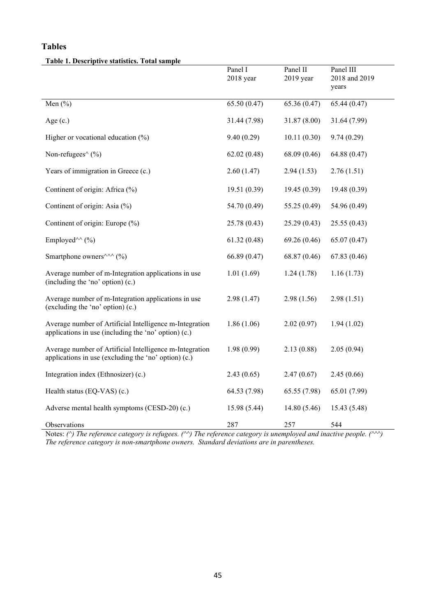# **Tables**

#### **Table 1. Descriptive statistics. Total sample**

|                                                                                                                 | Panel I<br>$2018$ year | Panel II<br>2019 year | Panel III<br>2018 and 2019<br>years |
|-----------------------------------------------------------------------------------------------------------------|------------------------|-----------------------|-------------------------------------|
| Men $(\% )$                                                                                                     | 65.50(0.47)            | 65.36 (0.47)          | 65.44(0.47)                         |
| Age $(c.)$                                                                                                      | 31.44 (7.98)           | 31.87 (8.00)          | 31.64 (7.99)                        |
| Higher or vocational education $(\%)$                                                                           | 9.40(0.29)             | 10.11(0.30)           | 9.74(0.29)                          |
| Non-refugees $\wedge$ (%)                                                                                       | 62.02(0.48)            | 68.09 (0.46)          | 64.88 (0.47)                        |
| Years of immigration in Greece (c.)                                                                             | 2.60(1.47)             | 2.94(1.53)            | 2.76(1.51)                          |
| Continent of origin: Africa (%)                                                                                 | 19.51 (0.39)           | 19.45(0.39)           | 19.48 (0.39)                        |
| Continent of origin: Asia (%)                                                                                   | 54.70 (0.49)           | 55.25 (0.49)          | 54.96 (0.49)                        |
| Continent of origin: Europe (%)                                                                                 | 25.78 (0.43)           | 25.29 (0.43)          | 25.55 (0.43)                        |
| Employed <sup>^^</sup> (%)                                                                                      | 61.32(0.48)            | 69.26 (0.46)          | 65.07(0.47)                         |
| Smartphone owners $\wedge\wedge\wedge$ (%)                                                                      | 66.89 (0.47)           | 68.87 (0.46)          | 67.83(0.46)                         |
| Average number of m-Integration applications in use<br>(including the 'no' option) (c.)                         | 1.01(1.69)             | 1.24(1.78)            | 1.16(1.73)                          |
| Average number of m-Integration applications in use<br>(excluding the 'no' option) (c.)                         | 2.98(1.47)             | 2.98(1.56)            | 2.98(1.51)                          |
| Average number of Artificial Intelligence m-Integration<br>applications in use (including the 'no' option) (c.) | 1.86(1.06)             | 2.02(0.97)            | 1.94(1.02)                          |
| Average number of Artificial Intelligence m-Integration<br>applications in use (excluding the 'no' option) (c.) | 1.98(0.99)             | 2.13(0.88)            | 2.05(0.94)                          |
| Integration index (Ethnosizer) (c.)                                                                             | 2.43(0.65)             | 2.47(0.67)            | 2.45(0.66)                          |
| Health status (EQ-VAS) (c.)                                                                                     | 64.53 (7.98)           | 65.55 (7.98)          | 65.01 (7.99)                        |
| Adverse mental health symptoms (CESD-20) (c.)                                                                   | 15.98 (5.44)           | 14.80 (5.46)          | 15.43 (5.48)                        |
| Observations                                                                                                    | 287                    | 257                   | 544                                 |

Notes: *(^) The reference category is refugees. (^^) The reference category is unemployed and inactive people. (^^^) The reference category is non-smartphone owners. Standard deviations are in parentheses.*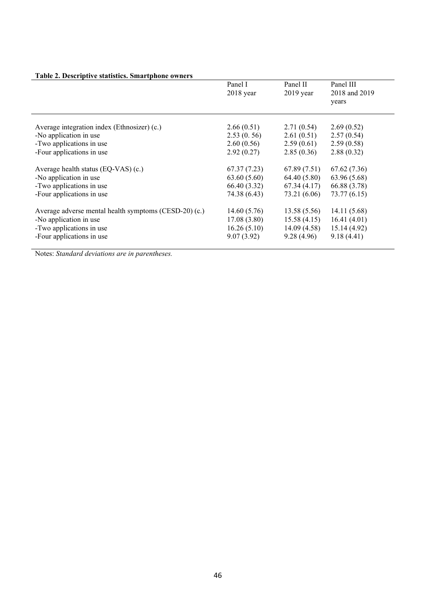|                                                       | Panel I<br>$2018$ year | Panel II<br>$2019$ year | Panel III<br>2018 and 2019<br>years |
|-------------------------------------------------------|------------------------|-------------------------|-------------------------------------|
| Average integration index (Ethnosizer) (c.)           | 2.66(0.51)             | 2.71(0.54)              | 2.69(0.52)                          |
| -No application in use                                | 2.53(0.56)             | 2.61(0.51)              | 2.57(0.54)                          |
| -Two applications in use                              | 2.60(0.56)             | 2.59(0.61)              | 2.59(0.58)                          |
| -Four applications in use                             | 2.92(0.27)             | 2.85(0.36)              | 2.88(0.32)                          |
| Average health status (EQ-VAS) (c.)                   | 67.37 (7.23)           | 67.89(7.51)             | 67.62 (7.36)                        |
| -No application in use                                | 63.60(5.60)            | 64.40 (5.80)            | 63.96 (5.68)                        |
| -Two applications in use                              | 66.40 (3.32)           | 67.34(4.17)             | 66.88 (3.78)                        |
| -Four applications in use                             | 74.38 (6.43)           | 73.21 (6.06)            | 73.77(6.15)                         |
| Average adverse mental health symptoms (CESD-20) (c.) | 14.60(5.76)            | 13.58(5.56)             | 14.11 (5.68)                        |
| -No application in use                                | 17.08(3.80)            | 15.58(4.15)             | 16.41(4.01)                         |
| -Two applications in use                              | 16.26(5.10)            | 14.09(4.58)             | 15.14 (4.92)                        |
| -Four applications in use                             | 9.07(3.92)             | 9.28(4.96)              | 9.18(4.41)                          |

# **Table 2. Descriptive statistics. Smartphone owners**

Notes: *Standard deviations are in parentheses.*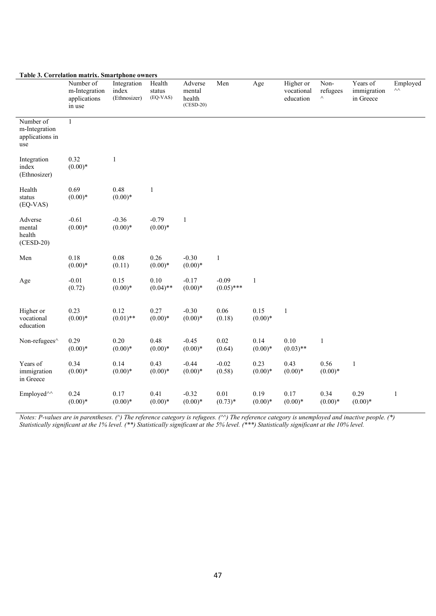|                                                      | Lable 3. Correlation matrix. Smartphone owners<br>Number of | Integration           | Health               | Adverse                         | Men                     | Age               | Higher or               | Non-                 | Years of                 | Employed<br>$\wedge\wedge$ |
|------------------------------------------------------|-------------------------------------------------------------|-----------------------|----------------------|---------------------------------|-------------------------|-------------------|-------------------------|----------------------|--------------------------|----------------------------|
|                                                      | m-Integration<br>applications<br>in use                     | index<br>(Ethnosizer) | status<br>(EQ-VAS)   | mental<br>health<br>$(CESD-20)$ |                         |                   | vocational<br>education | refugees<br>$\wedge$ | immigration<br>in Greece |                            |
| Number of<br>m-Integration<br>applications in<br>use | $\mathbf{1}$                                                |                       |                      |                                 |                         |                   |                         |                      |                          |                            |
| Integration<br>index<br>(Ethnosizer)                 | 0.32<br>$(0.00)*$                                           | $\mathbf{1}$          |                      |                                 |                         |                   |                         |                      |                          |                            |
| Health<br>status<br>$(EQ-VAS)$                       | 0.69<br>$(0.00)*$                                           | 0.48<br>$(0.00)*$     | $\mathbf{1}$         |                                 |                         |                   |                         |                      |                          |                            |
| Adverse<br>mental<br>health<br>$(CESD-20)$           | $-0.61$<br>$(0.00)*$                                        | $-0.36$<br>$(0.00)*$  | $-0.79$<br>$(0.00)*$ | $\mathbf{1}$                    |                         |                   |                         |                      |                          |                            |
| Men                                                  | 0.18<br>$(0.00)*$                                           | 0.08<br>(0.11)        | 0.26<br>$(0.00)*$    | $-0.30$<br>$(0.00)*$            | $\,1\,$                 |                   |                         |                      |                          |                            |
| Age                                                  | $-0.01$<br>(0.72)                                           | 0.15<br>$(0.00)*$     | 0.10<br>$(0.04)$ **  | $-0.17$<br>$(0.00)*$            | $-0.09$<br>$(0.05)$ *** | $\mathbf{1}$      |                         |                      |                          |                            |
| Higher or<br>vocational<br>education                 | 0.23<br>$(0.00)*$                                           | 0.12<br>$(0.01)$ **   | 0.27<br>$(0.00)*$    | $-0.30$<br>$(0.00)*$            | 0.06<br>(0.18)          | 0.15<br>$(0.00)*$ | $\,1$                   |                      |                          |                            |
| Non-refugees^                                        | 0.29<br>$(0.00)*$                                           | 0.20<br>$(0.00)*$     | 0.48<br>$(0.00)*$    | $-0.45$<br>$(0.00)*$            | 0.02<br>(0.64)          | 0.14<br>$(0.00)*$ | 0.10<br>$(0.03)$ **     | $\mathbf{1}$         |                          |                            |
| Years of<br>immigration<br>in Greece                 | 0.34<br>$(0.00)*$                                           | 0.14<br>$(0.00)*$     | 0.43<br>$(0.00)*$    | $-0.44$<br>$(0.00)*$            | $-0.02$<br>(0.58)       | 0.23<br>$(0.00)*$ | 0.43<br>$(0.00)*$       | 0.56<br>$(0.00)*$    | $\mathbf{1}$             |                            |
| Employed <sup>^^</sup>                               | 0.24<br>$(0.00)*$                                           | 0.17<br>$(0.00)*$     | 0.41<br>$(0.00)*$    | $-0.32$<br>$(0.00)*$            | 0.01<br>$(0.73)*$       | 0.19<br>$(0.00)*$ | 0.17<br>$(0.00)*$       | 0.34<br>$(0.00)*$    | 0.29<br>$(0.00)*$        | $\mathbf{1}$               |

#### **Table 3. Correlation matrix. Smartphone owners**

*Notes: P-values are in parentheses. (^) The reference category is refugees. (^^) The reference category is unemployed and inactive people. (\*) Statistically significant at the 1% level. (\*\*) Statistically significant at the 5% level. (\*\*\*) Statistically significant at the 10% level.*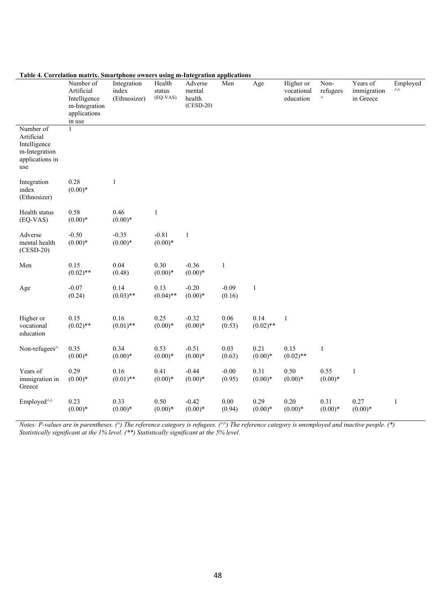|                                                                                    | Number of<br>Artificial<br>Intelligence<br>m-Integration<br>applications<br>in use | $\frac{1}{2}$<br>Integration<br>index<br>(Ethnosizer) | Health<br>status<br>(EQ-VAS) | <br>$\sim$ $\sim$ $\sim$<br>Adverse<br>mental<br>health<br>$(CESD-20)$ | Men               | Age                 | Higher or<br>vocational<br>education | Non-<br>refugees<br>$\wedge$ | Years of<br>immigration<br>in Greece | Employed<br>$\wedge\wedge$ |
|------------------------------------------------------------------------------------|------------------------------------------------------------------------------------|-------------------------------------------------------|------------------------------|------------------------------------------------------------------------|-------------------|---------------------|--------------------------------------|------------------------------|--------------------------------------|----------------------------|
| Number of<br>Artificial<br>Intelligence<br>m-Integration<br>applications in<br>use | $\mathbf{1}$                                                                       |                                                       |                              |                                                                        |                   |                     |                                      |                              |                                      |                            |
| Integration<br>index<br>(Ethnosizer)                                               | 0.28<br>$(0.00)*$                                                                  | 1                                                     |                              |                                                                        |                   |                     |                                      |                              |                                      |                            |
| Health status<br>$(EQ-VAS)$                                                        | 0.58<br>$(0.00)*$                                                                  | 0.46<br>$(0.00)*$                                     | $\,1\,$                      |                                                                        |                   |                     |                                      |                              |                                      |                            |
| Adverse<br>mental health<br>$(CESD-20)$                                            | $-0.50$<br>$(0.00)*$                                                               | $-0.35$<br>$(0.00)*$                                  | $-0.81$<br>$(0.00)*$         | $\,1$                                                                  |                   |                     |                                      |                              |                                      |                            |
| Men                                                                                | 0.15<br>$(0.02)$ **                                                                | 0.04<br>(0.48)                                        | 0.30<br>$(0.00)*$            | $-0.36$<br>$(0.00)*$                                                   | $\mathbf{1}$      |                     |                                      |                              |                                      |                            |
| Age                                                                                | $-0.07$<br>(0.24)                                                                  | 0.14<br>$(0.03)$ **                                   | 0.13<br>$(0.04)$ **          | $-0.20$<br>$(0.00)*$                                                   | $-0.09$<br>(0.16) | $\,1$               |                                      |                              |                                      |                            |
| Higher or<br>vocational<br>education                                               | 0.15<br>$(0.02)$ **                                                                | 0.16<br>$(0.01)$ **                                   | 0.25<br>$(0.00)*$            | $-0.32$<br>$(0.00)*$                                                   | 0.06<br>(0.53)    | 0.14<br>$(0.02)$ ** | $\mathbf{1}$                         |                              |                                      |                            |
| Non-refugees^                                                                      | 0.35<br>$(0.00)*$                                                                  | 0.34<br>$(0.00)*$                                     | 0.53<br>$(0.00)*$            | $-0.51$<br>$(0.00)*$                                                   | 0.03<br>(0.63)    | 0.21<br>$(0.00)*$   | 0.15<br>$(0.02)$ **                  | $\mathbf{1}$                 |                                      |                            |
| Years of<br>immigration in<br>Greece                                               | 0.29<br>$(0.00)*$                                                                  | 0.16<br>$(0.01)$ **                                   | 0.41<br>$(0.00)*$            | $-0.44$<br>$(0.00)*$                                                   | $-0.00$<br>(0.95) | 0.31<br>$(0.00)*$   | 0.50<br>$(0.00)*$                    | 0.55<br>$(0.00)*$            | $\mathbf 1$                          |                            |
| Employed <sup>^^</sup>                                                             | 0.23<br>$(0.00)*$                                                                  | 0.33<br>$(0.00)*$                                     | 0.50<br>$(0.00)*$            | $-0.42$<br>$(0.00)*$                                                   | 0.00<br>(0.94)    | 0.29<br>$(0.00)*$   | 0.20<br>$(0.00)*$                    | 0.31<br>$(0.00)*$            | 0.27<br>$(0.00)*$                    | $\mathbf{1}$               |

#### **Table 4. Correlation matrix. Smartphone owners using m-Integration applications**

*Notes: P-values are in parentheses. (^) The reference category is refugees. (^^) The reference category is unemployed and inactive people. (\*) Statistically significant at the 1% level. (\*\*) Statistically significant at the 5% level.*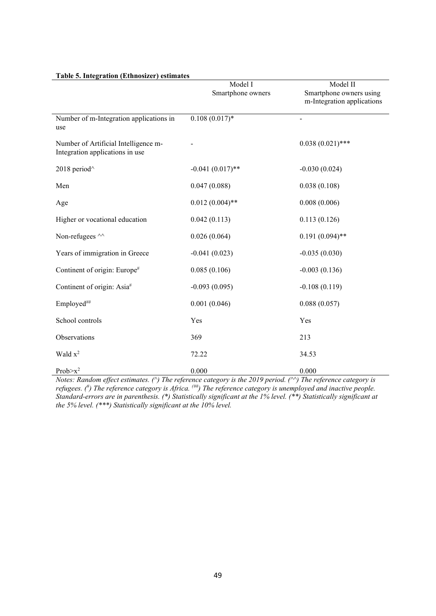|                                                                         | Model I            | Model II                   |
|-------------------------------------------------------------------------|--------------------|----------------------------|
|                                                                         | Smartphone owners  | Smartphone owners using    |
|                                                                         |                    | m-Integration applications |
| Number of m-Integration applications in<br>use                          | $0.108(0.017)$ *   |                            |
| Number of Artificial Intelligence m-<br>Integration applications in use |                    | $0.038(0.021)$ ***         |
| 2018 period <sup>^</sup>                                                | $-0.041(0.017)$ ** | $-0.030(0.024)$            |
| Men                                                                     | 0.047(0.088)       | 0.038(0.108)               |
| Age                                                                     | $0.012(0.004)$ **  | 0.008(0.006)               |
| Higher or vocational education                                          | 0.042(0.113)       | 0.113(0.126)               |
| Non-refugees ^^                                                         | 0.026(0.064)       | $0.191(0.094)$ **          |
| Years of immigration in Greece                                          | $-0.041(0.023)$    | $-0.035(0.030)$            |
| Continent of origin: Europe#                                            | 0.085(0.106)       | $-0.003(0.136)$            |
| Continent of origin: Asia#                                              | $-0.093(0.095)$    | $-0.108(0.119)$            |
| Employed##                                                              | 0.001(0.046)       | 0.088(0.057)               |
| School controls                                                         | Yes                | Yes                        |
| Observations                                                            | 369                | 213                        |
| Wald $x^2$                                                              | 72.22              | 34.53                      |
| Prob $\geq x^2$                                                         | 0.000              | 0.000                      |

#### **Table 5. Integration (Ethnosizer) estimates**

*Notes: Random effect estimates. (^) The reference category is the 2019 period. (^^) The reference category is*  refugees. (<sup>#</sup>) The reference category is Africa. <sup>(##</sup>) The reference category is unemployed and inactive people. *Standard-errors are in parenthesis. (\*) Statistically significant at the 1% level. (\*\*) Statistically significant at the 5% level. (\*\*\*) Statistically significant at the 10% level.*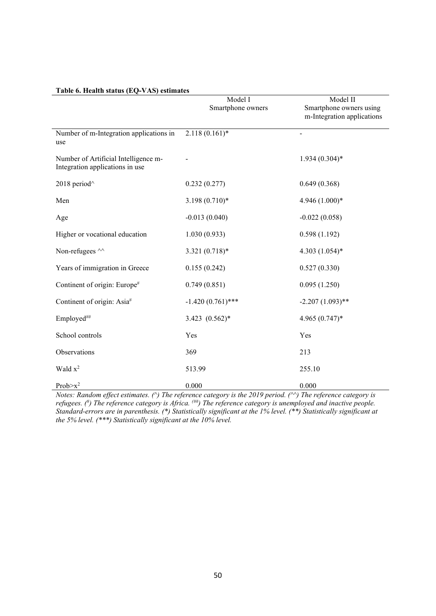| radic v. ficanti status (EQ- $\tau$ AS) estimates                       | Model I<br>Smartphone owners | Model II<br>Smartphone owners using<br>m-Integration applications |
|-------------------------------------------------------------------------|------------------------------|-------------------------------------------------------------------|
| Number of m-Integration applications in<br>use                          | $2.118(0.161)^*$             | $\frac{1}{2}$                                                     |
| Number of Artificial Intelligence m-<br>Integration applications in use |                              | $1.934(0.304)*$                                                   |
| 2018 period <sup>^</sup>                                                | 0.232(0.277)                 | 0.649(0.368)                                                      |
| Men                                                                     | $3.198(0.710)*$              | 4.946 (1.000)*                                                    |
| Age                                                                     | $-0.013(0.040)$              | $-0.022(0.058)$                                                   |
| Higher or vocational education                                          | 1.030(0.933)                 | 0.598(1.192)                                                      |
| Non-refugees ^^                                                         | $3.321(0.718)$ *             | 4.303 $(1.054)$ *                                                 |
| Years of immigration in Greece                                          | 0.155(0.242)                 | 0.527(0.330)                                                      |
| Continent of origin: Europe#                                            | 0.749(0.851)                 | 0.095(1.250)                                                      |
| Continent of origin: Asia#                                              | $-1.420(0.761)$ ***          | $-2.207(1.093)$ **                                                |
| Employed##                                                              | $3.423$ $(0.562)*$           | $4.965(0.747)$ *                                                  |
| School controls                                                         | Yes                          | Yes                                                               |
| Observations                                                            | 369                          | 213                                                               |
| Wald $x^2$                                                              | 513.99                       | 255.10                                                            |
| Prob $\geq x^2$                                                         | 0.000                        | 0.000                                                             |

# **Table 6. Health status (EQ-VAS) estimates**

*Notes: Random effect estimates. (^) The reference category is the 2019 period. (^^) The reference category is*  refugees. (<sup>#</sup>) The reference category is Africa. <sup>(##</sup>) The reference category is unemployed and inactive people. *Standard-errors are in parenthesis. (\*) Statistically significant at the 1% level. (\*\*) Statistically significant at the 5% level. (\*\*\*) Statistically significant at the 10% level.*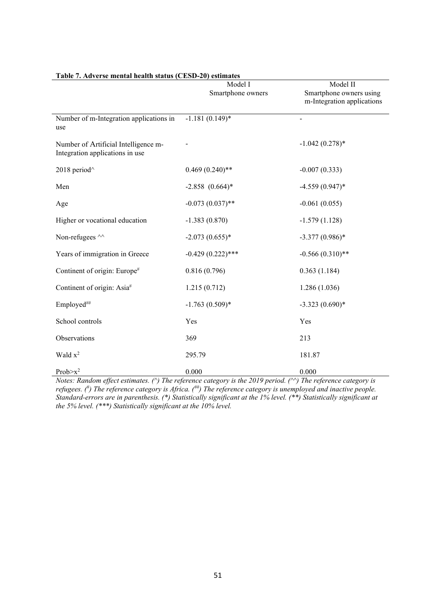|                                                                         | Model I             | Model II                                              |
|-------------------------------------------------------------------------|---------------------|-------------------------------------------------------|
|                                                                         | Smartphone owners   | Smartphone owners using<br>m-Integration applications |
| Number of m-Integration applications in<br>use                          | $-1.181(0.149)$ *   | $\blacksquare$                                        |
| Number of Artificial Intelligence m-<br>Integration applications in use |                     | $-1.042(0.278)*$                                      |
| 2018 period <sup>^</sup>                                                | $0.469(0.240)**$    | $-0.007(0.333)$                                       |
| Men                                                                     | $-2.858$ $(0.664)*$ | $-4.559(0.947)$ *                                     |
| Age                                                                     | $-0.073(0.037)$ **  | $-0.061(0.055)$                                       |
| Higher or vocational education                                          | $-1.383(0.870)$     | $-1.579(1.128)$                                       |
| Non-refugees ^^                                                         | $-2.073(0.655)*$    | $-3.377(0.986)*$                                      |
| Years of immigration in Greece                                          | $-0.429(0.222)$ *** | $-0.566(0.310)$ **                                    |
| Continent of origin: Europe#                                            | 0.816(0.796)        | 0.363(1.184)                                          |
| Continent of origin: Asia#                                              | 1.215(0.712)        | 1.286(1.036)                                          |
| Employed##                                                              | $-1.763(0.509)*$    | $-3.323(0.690)*$                                      |
| School controls                                                         | Yes                 | Yes                                                   |
| Observations                                                            | 369                 | 213                                                   |
| Wald $x^2$                                                              | 295.79              | 181.87                                                |
| Prob $\geq x^2$                                                         | 0.000               | 0.000                                                 |

#### **Table 7. Adverse mental health status (CESD-20) estimates**

*Notes: Random effect estimates. (^) The reference category is the 2019 period. (^^) The reference category is*  refugees. (<sup>#</sup>) The reference category is Africa. (<sup>##</sup>) The reference category is unemployed and inactive people. *Standard-errors are in parenthesis. (\*) Statistically significant at the 1% level. (\*\*) Statistically significant at the 5% level. (\*\*\*) Statistically significant at the 10% level.*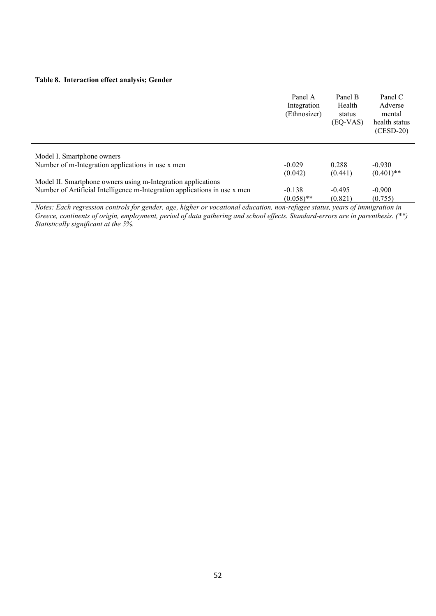#### **Table 8. Interaction effect analysis; Gender**

|                                                                           | Panel A<br>Integration<br>(Ethnosizer) | Panel B<br>Health<br>status<br>(EQ-VAS) | Panel C<br>Adverse<br>mental<br>health status<br>$(CESD-20)$ |
|---------------------------------------------------------------------------|----------------------------------------|-----------------------------------------|--------------------------------------------------------------|
| Model I. Smartphone owners                                                |                                        |                                         |                                                              |
| Number of m-Integration applications in use x men                         | $-0.029$<br>(0.042)                    | 0.288<br>(0.441)                        | $-0.930$<br>$(0.401)$ **                                     |
| Model II. Smartphone owners using m-Integration applications              |                                        |                                         |                                                              |
| Number of Artificial Intelligence m-Integration applications in use x men | $-0.138$                               | $-0.495$                                | $-0.900$                                                     |
|                                                                           | $(0.058)$ **                           | (0.821)                                 | (0.755)                                                      |

*Notes: Each regression controls for gender, age, higher or vocational education, non-refugee status, years of immigration in Greece, continents of origin, employment, period of data gathering and school effects. Standard-errors are in parenthesis. (\*\*) Statistically significant at the 5%.*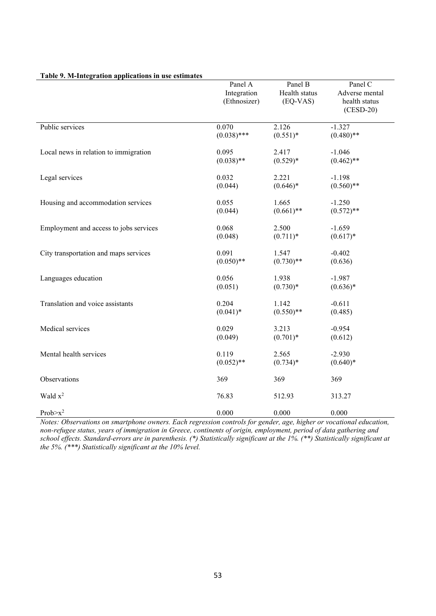|                                        | Panel A       | Panel B       | Panel C        |
|----------------------------------------|---------------|---------------|----------------|
|                                        | Integration   | Health status | Adverse mental |
|                                        | (Ethnosizer)  | $(EQ-VAS)$    | health status  |
|                                        |               |               | $(CESD-20)$    |
| Public services                        | 0.070         | 2.126         | $-1.327$       |
|                                        | $(0.038)$ *** | $(0.551)^*$   | $(0.480)$ **   |
|                                        |               |               |                |
| Local news in relation to immigration  | 0.095         | 2.417         | $-1.046$       |
|                                        | $(0.038)$ **  | $(0.529)*$    | $(0.462)$ **   |
|                                        |               |               |                |
| Legal services                         | 0.032         | 2.221         | $-1.198$       |
|                                        | (0.044)       | $(0.646)*$    | $(0.560)$ **   |
| Housing and accommodation services     | 0.055         | 1.665         | $-1.250$       |
|                                        | (0.044)       | $(0.661)$ **  | $(0.572)$ **   |
|                                        |               |               |                |
| Employment and access to jobs services | 0.068         | 2.500         | $-1.659$       |
|                                        | (0.048)       | $(0.711)^*$   | $(0.617)*$     |
|                                        |               |               |                |
| City transportation and maps services  | 0.091         | 1.547         | $-0.402$       |
|                                        | $(0.050)$ **  | $(0.730)$ **  | (0.636)        |
|                                        | 0.056         |               |                |
| Languages education                    |               | 1.938         | $-1.987$       |
|                                        | (0.051)       | $(0.730)*$    | $(0.636)*$     |
| Translation and voice assistants       | 0.204         | 1.142         | $-0.611$       |
|                                        | $(0.041)^*$   | $(0.550)$ **  | (0.485)        |
|                                        |               |               |                |
| Medical services                       | 0.029         | 3.213         | $-0.954$       |
|                                        | (0.049)       | $(0.701)^*$   | (0.612)        |
| Mental health services                 | 0.119         | 2.565         | $-2.930$       |
|                                        | $(0.052)$ **  | $(0.734)$ *   | $(0.640)*$     |
|                                        |               |               |                |
| Observations                           | 369           | 369           | 369            |
|                                        |               |               |                |
| Wald $x^2$                             | 76.83         | 512.93        | 313.27         |
| $Prob > x^2$                           | 0.000         | 0.000         | 0.000          |

#### **Table 9. M-Integration applications in use estimates**

*Notes: Observations on smartphone owners. Each regression controls for gender, age, higher or vocational education, non-refugee status, years of immigration in Greece, continents of origin, employment, period of data gathering and school effects. Standard-errors are in parenthesis. (\*) Statistically significant at the 1%. (\*\*) Statistically significant at the 5%. (\*\*\*) Statistically significant at the 10% level.*